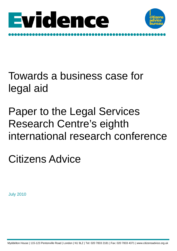



# Towards a business case for legal aid

# Paper to the Legal Services Research Centre's eighth international research conference

Citizens Advice

July 2010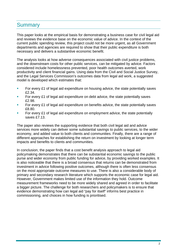## **Summary**

This paper looks at the empirical basis for demonstrating a business case for civil legal aid and reviews the evidence base on the economic value of advice. In the context of the current public spending review, this project could not be more urgent, as all Government departments and agencies are required to show that their public expenditure is both necessary and delivers a substantive economic benefit.

The analysis looks at how adverse consequences associated with civil justice problems, and the downstream costs for other public services, can be mitigated by advice. Factors considered include homelessness prevented, poor health outcomes averted, work productivity and client financial gains. Using data from the Civil and Social Justice Survey, and the Legal Services Commission's outcomes data from legal aid work, a suggested model is developed which estimates that:

- For every  $£1$  of legal aid expenditure on housing advice, the state potentially saves £2.34.
- **For every £1 of legal aid expenditure on debt advice, the state potentially saves** £2.98.
- For every £1 of legal aid expenditure on benefits advice, the state potentially saves £8.80.
- For every £1 of legal aid expenditure on employment advice, the state potentially saves £7.13.

The paper also reviews the supporting evidence that both civil legal aid and advice services more widely can deliver some substantial savings to public services, to the wider economy, and added value to both clients and communities. Finally, there are a range of different approaches for establishing the return on investment by looking at longer term impacts and benefits to clients and communities.

In conclusion, the paper finds that a cost benefit analysis approach to legal aid policymaking demonstrates that there can be substantial economic savings to the public purse and wider economy from public funding for advice, by providing worked examples. It is also noticeable that there is a broad consensus that returns can be demonstrated from investment in advice following positive outcomes, although there is often less consensus on the most appropriate outcome measures to use. There is also a considerable body of primary and secondary research literature which supports the economic case for legal aid. However, Government makes limited use of the information they hold. Outcome measurement frameworks need to be more widely shared and agreed in order to facilitate a bigger picture. The challenge for both researchers and policymakers is to ensure that evidence demonstrating how can legal aid "pay for itself" informs best practice in commissioning, and choices in how funding is prioritised.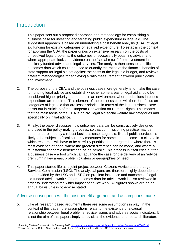## **Introduction**

- 1. This paper sets out a proposed approach and methodology for establishing a business case for investing and targeting public expenditure in legal aid. The suggested approach is based on undertaking a cost benefit analysis (CBA) of legal aid funding for existing categories of legal aid expenditure. To establish the context for applying the CBA, the paper draws on extensive research on the costs of unresolved legal problems, the outcomes of successfully obtaining advice, and where appropriate looks at evidence on the "social return" from investment in publically funded advice and legal services. The analysis then turns to specific outcomes data which could be used to quantify the ratios of the financial benefits of state support for legal aid set against the costs of the legal aid budget, and reviews different methodologies for achieving a ratio measurement between public gains and investment.
- 2. The purpose of the CBA, and the business case more generally is to make the case for funding legal advice and establish whether some areas of legal aid should be considered higher priority than others in an environment where reductions in public expenditure are required. This element of the business case will therefore focus on categories of legal aid that are lesser priorities in terms of the legal business case as set out in Article 6 of the European Convention on Human Rights. This means that the main focus of the CBA is on civil legal aid/social welfare law categories and specifically on initial advice.
- 3. Finally, the paper discusses how outcomes data can be constructively designed and used in the policy making process, so that commissioning practice may be better underpinned by a robust business case. Legal aid, like all public services, is likely to be subject to fiscal austerity measures for some time to come – a climate in which resources will have to be carefully prioritised and targeted at where there is most evidence of need, where the greatest difference can be made, and where a "substantial economic benefit" can be delivered.<sup>[1](#page-2-0)</sup> This process in itself cries out for a business case – a tool which can advance the case for the delivery of an "advice premium" in key areas, problem clusters or geographies of need.
- 4. This paper started life as a joint project between Citizens Advice and the Legal Services Commission (LSC). The analytical parts are therefore highly dependent on data provided by the LSC and LSRC on problem incidence and outcomes of legal aid funded advice work. $2$  Other outcomes data for advice work is also reviewed in order to understand the wider impact of advice work. All figures shown are on an annual basis unless otherwise stated.

#### Adverse consequences - the cost benefit argument and assumptions made

5. Like all research based arguments there are some assumptions in play. In the context of this paper, the assumptions relate to the existence of a causal relationship between legal problems, advice issues and adverse social indicators. It is not the aim of this paper simply to revisit all the evidence and research literature

 $\overline{a}$ <sup>1</sup> S*pending Review Framework,* HM Treasury 2010 <u>http://www.hm-treasury.gov.uk/d/spending\_review\_framework\_080610.pdf</u><br><sup>2</sup> Thanks are due to Robert Cross and Iain Willis from LSC for their help and to the LSRC for sharin

<span id="page-2-1"></span><span id="page-2-0"></span>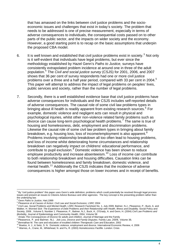that has amassed on the links between civil justice problems and the socioeconomic issues and challenges that exist in today's society. The problem that needs to be addressed is one of precise measurement, especially in terms of adverse consequences to individuals, the consequential costs passed on to other parts of the public sector, and the impacts on wider society and the economy. However, a good starting point is to recap on the basic assumptions that underpin the proposed CBA model.

- 6. It is well known and established that civil justice problems exist in society.<sup>[3](#page-3-0)</sup> Not only is it self-evident that individuals have legal problems, but ever since the methodology established by Hazel Genn's *Paths to Justice,* surveys have consistently extrapolated problem incidence at around one in three of the adult population.[4](#page-3-1) The *Civil and social justice survey* (CSJS) for 2001, 2006, and 2007 shows that 36 per cent of survey respondents had one or more civil justice problems over a three and a half year period, compared with 33 per cent in 2004.<sup>[5](#page-3-2)</sup> This paper will attempt to address the impact of legal problems on peoples' lives, public services and society, rather than the number of legal problems.
- 7. Secondly, there is a well established evidence base that civil justice problems have adverse consequences for individuals and the CSJS includes self-reported details of adverse consequences. The causal role of some civil law problems types in bringing about ill health is readily apparent from existing research sources.<sup>[6](#page-3-3)</sup> For example, domestic violence and negligent acts can result in physical and psychological injuries, whilst other non-violence related family problems such as divorce can cause long-term psychological health problems.<sup>[7](#page-3-4)</sup> The same is true of housing and homelessness, debt, employment and discrimination problems. Likewise the causal role of some civil law problem types in bringing about family breakdown, e.g. housing loss, loss of income/employment is also apparent.<sup>[8](#page-3-5)</sup> Problems involving relationship breakdown all too often lead to housing problems, and loss of income whilst deteriorating home circumstances and relationship breakdown can negatively impact on childrens' educational performance, and contribute to pupil exclusion.<sup>[9](#page-3-6)</sup> Domestic violence has been shown to reduce employee productivity and increase absenteeism.[10](#page-3-7) Loss of income can contribute to both relationship breakdown and housing difficulties. Causation links can be found between homelessness and family breakdown, domestic violence, and mental health.<sup>[11](#page-3-8)</sup> Additionally the CSJS indicates that the incidence of adverse consequences is higher amongst those on lower incomes and in receipt of benefits.

<span id="page-3-0"></span> $^3$  By "civil justice problem" this paper uses Genn's wide definition; problems which could potentially be resolved through legal process issues and present an issues to Citizens Advice Bureaux and other agencies. The key concept is the presenting problem rather than the underlying law.

<sup>&</sup>lt;sup>4</sup> Genn *Paths to Justice*, Hart, 1999

<span id="page-3-3"></span><span id="page-3-2"></span><span id="page-3-1"></span>Pleasence et al *Causes of Action: Civil Law and Social Exclusion*, LSRC 2004<br><sup>6</sup> Civil Law, Social Problems and Mental Health, LSRC Research Factsheet No. 1, July 2009. Balmer, N.J., Pleasence, P., Buck, A. and Walker, H. *Worried Sick: The Experience of Debt Problems and their Relationship with Health, Illness and Disability.* Social Policy and Society, 2006 , Volume 5, Number 1. Pleasence, P., Balmer, N.J., Buck, A., O'Grady, A. and Genn, H. (2004) *Civil Law Problems and Morbidity*, Journal of Epidemiology and Community Health, 2004, Volume 58

<span id="page-3-4"></span>Amato *The Consequences of Divorce for adults and children,* Journal of Marriage and the Family

<span id="page-3-5"></span><sup>&</sup>lt;sup>8</sup> Pleasence, P. and Balmer, N.J. *Job Loss, Divorce and Family Disputes.* Family Law, 2009, Volume 39, 9 Pleasence, P. and Balmer, N.J. *Job Loss, Divorce and Education*, 2002

<span id="page-3-8"></span><span id="page-3-7"></span><span id="page-3-6"></span><sup>&</sup>lt;sup>10</sup> Bowlus, A. J., & Seitz, S. N. Domestic violence, employment and divorce. International Economic Review, 4, 2006<br><sup>11</sup> Warnes, A., Crane, M., Whitehead, N. and Fu, R. (2003) Homelessness Factfile. London: Crisis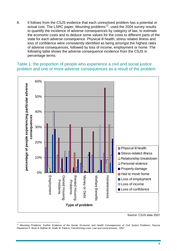8. It follows from the CSJS evidence that each unresolved problem has a potential or actual cost. The LSRC paper, *Mounting problems*[12](#page-4-0)*,* used the 2004 survey results to quantify the incidence of adverse consequences by category of law, to estimate the economic costs and to deduce some values for the costs to different parts of the state for each adverse consequence. Physical ill health, stress related illness and loss of confidence were consistently identified as being amongst the highest rates of adverse consequences, followed by loss of income, employment or home. The following table shows the adverse consequence incidence from the CSJS in percentage terms.

#### Table 1: the proportion of people who experience a civil and social justice problem and one or more adverse consequences as a result of the problem



Source: CSJS data 2007

<span id="page-4-0"></span> $\overline{a}$ <sup>12</sup> *Mounting Problems: Further Evidence of the Social, Economic and Health Consequences of Civil Justice Problems*, Pascoe Pleasence P, Buck A, Balmer M, Smith M, Patel A, *Transforming Lives: Law and social process*, 2007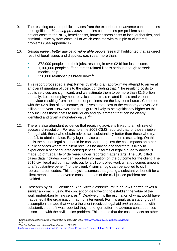- 9. The resulting costs to public services from the experience of adverse consequences are significant. *Mounting problems* identifies cost proxies per problem such as patient costs to the NHS, benefit costs, homelessness costs to local authorities, and criminal justice system costs, all of which escalate with multiple or clustered problems (See Appendix 1).
- 10. *Getting earlier, better advice to vulnerable people* research highlighted that as direct result of legal issues and disputes, each year more than:
	- **372,000 people lose their jobs, resulting in over £2 billion lost income;**
	- <sup>1</sup> 1,100,000 people suffer a stress related illness serious enough to seek medical help
	- $\sim$  250,000 relationships break down<sup>[13](#page-5-0)</sup>
- 11. This report proceeded a step further by making an approximate attempt to arrive at an overall quantum of costs to the state, concluding that, "The resulting costs to public services are significant, and we estimate them to be more than £1.5 billion annually. Loss of employment, physical and stress-related illness and violent behaviour resulting from the stress of problems are the key contributors. Combined with the £2 billion of lost income, this gives a total cost to the economy of over £3.5 billion each year. However, the true figure is likely to be significantly higher as this only includes those costs to individuals and government that can be clearly identified and given a monetary value."<sup>[14](#page-5-1)</sup>
- 12. There is also abundant evidence that receiving advice is linked to a high rate of successful resolution. For example the 2008 CSJS reported that for those eligible for legal aid, those who obtain advice fare substantially better than those who try, but fail, to obtain advice. Early legal advice can stop problems escalating. On this basis the cost of legal aid should be considered against the cost impacts on other public services where the client receives no advice and therefore is likely to experience a set of adverse consequences. In terms of legal aid, early advice is made up of "Legal Help" delivered under reported matter starts. The LSC billed cases data includes provider reported information on the outcome for the client. The 2010 civil legal aid contract sets out for civil controlled work what outcomes amount to a "substantive benefit" for the client. A similar logic can be applied to civil representation codes. This analysis assumes that getting a substantive benefit for a client means that the adverse consequences of the civil justice problem are avoided.
- 13. Research by NEF Consulting, *The Socio-Economic Value of Law Centres*, takes a similar approach, using the concept of 'deadweight' to establish the value of the work undertaken by law centres.<sup>[15](#page-5-2)</sup> Deadweight is the estimation of what would have happened if the organisation had not intervened. For this analysis a starting point assumption is made that where the client received legal aid *and* an outcome with substantive benefit was reported they no longer suffer the adverse consequences associated with the civil justice problem. This means that the cost impacts on other

<span id="page-5-1"></span>

<span id="page-5-0"></span> $\overline{a}$ <sup>13</sup> Getting earlier, better advice to vulnerable people, DCA 2006 <u><http://www.dca.gov.uk/laid/betteradvice.pdf></u><br><sup>14</sup> ibid<br><sup>15</sup> The Socio-Economic Value of Law Centres, NEF 2009

<span id="page-5-2"></span>[http://www.lawcentres.org.uk/uploads/Read\\_the\\_Socio-Economic\\_Benefits\\_of\\_Law\\_Centres\\_here.pdf](http://www.lawcentres.org.uk/uploads/Read_the_Socio-Economic_Benefits_of_Law_Centres_here.pdf)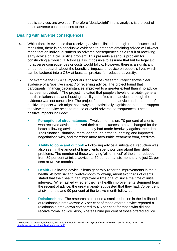public services are avoided. Therefore 'deadweight' in this analysis is the cost of those adverse consequences to the state.

#### Dealing with adverse consequences

- 14. Whilst there is evidence that receiving advice is linked to a high rate of successful resolution, there is no conclusive evidence to date that obtaining advice will always mean that an individual suffers no adverse consequences as a result of receiving early advice on a civil justice problem. This presents a serious problem for constructing a robust CBA tool as it is impossible to assume that but for legal aid, no adverse consequences or costs would follow. However, there is a significant amount of research about the beneficial impacts of advice on people's lives which can be factored into a CBA at least as 'proxies' for reduced adversity.
- 15. For example the LSRC's *Impact of Debt Advice Research Project* shows clear evidence of a "positive impact" of receiving advice. The project found that participants' financial circumstances improved to a greater extent than if no advice had been provided.<sup>[16](#page-6-0)</sup> The project indicated that people's levels of anxiety, general health, relationships, and housing stability benefited from advice, although the evidence was not conclusive. The project found that debt advice had a number of positive impacts which might not always be statistically significant, but does support the view that advice helps to reduce or avoid adverse consequences. These positive impacts included:
	- **Perception of circumstances** Twelve months on, 70 per cent of clients who received advice perceived their circumstances to have changed for the better following advice, and that they had made headway against their debts. Their financial situation improved through better budgeting and improved negotiations with, and therefore more favourable treatment from, creditors.
	- **Ability to cope and outlook**  Following advice a substantial reduction was also seen in the amount of time clients spent worrying about their debt problems. The number of those worrying 'all' or 'most' of the time reduced from 89 per cent at initial advice, to 59 per cent at six months and just 31 per cent at twelve months.
	- **Health -** Following advice, clients generally reported improvements in their health. At both six and twelve-month follow-up, about two thirds of clients stated that their health had improved a little or a lot since the time of initial interview. When asked whether they felt health improvements stemmed from the receipt of advice, the great majority suggested that they had: 75 per cent at six months and 90 per cent at the twelve-month follow-up.
	- **Relationships** The research also found a small reduction in the likelihood of relationship breakdown: 2.5 per cent of those offered advice reported a relationship breakdown compared to 4.5 per cent for those who did not receive formal advice. Also, whereas nine per cent of those offered advice

<span id="page-6-0"></span> $\overline{a}$ <sup>16</sup> Pleasence P, Buck A, Balmer N, Williams K A Helping Hand: The Impact of Debt advice on peoples lives, LSRC, 2007 <http://www.lsrc.org.uk/publications/Impact.pdf>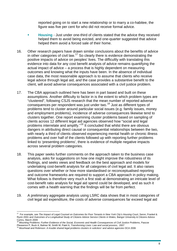reported going on to start a new relationship or to marry a co-habitee, the figure was five per cent for who did not receive formal advice.

- **Housing**  Just under one-third of clients stated that the advice they received helped them to avoid being evicted, and one-quarter suggested that advice helped them avoid a forced sale of their home.
- 16. Other research papers have drawn similar conclusions about the benefits of advice in other categories of civil law.<sup>[17](#page-7-0)</sup> So clearly there is evidence demonstrating the positive impacts of advice on peoples' lives. The difficultly with translating this evidence into data for any cost benefit analysis of advice remains quantifying the actual impact of advice – a process that is highly dependent on measuring outcomes and knowing what the inputs have been. In the absence of individual case data, the most reasonable approach is to assume that clients who receive legal advice through legal aid, *and* the case provides a substantive benefit to the client, will avoid adverse consequences associated with a civil justice problem.
- 17. The CBA approach outlined here has been in part based and built on these assumptions. Another difficulty to factor in is the extent to which problem types are "clustered", following CSJS research that the mean number of reported adverse consequences per respondent was just under two.[18](#page-7-1) Just as different types of problems tend to cluster around particular social issues (e.g. family issues, money and employment problems), incidence of adverse consequences likewise tend to clusters together. One report examining cluster problems based on sampling of clients across 12 different legal aid agencies observed how "social and legal problems interrelate and amplify."<sup>[19](#page-7-2)</sup> It concluded that whilst there are obvious dangers in attributing direct causal or consequential relationships between the two, with nearly a third of clients observed experiencing mental health or chronic illness problems and over half of the clients followed up with reporting further problems linked to 'presenting problems', there is evidence of multiple negative impacts across several problem categories.
- 18. This paper seeks further comments on the approach taken to the business case analysis, asks for suggestions on how one might improve the robustness of its findings, and seeks views and feedback on the best approach and models for undertaking cost-benefit analysis for all categories of civil legal aid. It also raises questions over whether or how more standardised or reconceptualised reporting and outcome frameworks are required to support a CBA approach in policy making. What follows is therefore very much a first stab at demonstrating an intricate level of cost-benefit ratio analysis for legal aid spend could be developed, and as such it comes with a health warning that the findings will be far from perfect.
- 19. A preliminary aggregate analysis using LSRC data shows that in most categories of civil legal aid expenditure, the costs of adverse consequences far exceed legal aid

<span id="page-7-0"></span> $\overline{a}$ 17 For example, see *The Impact of Legal Counsel on Outcomes for Poor Tenants in New York City's Housing Court*, Seron, Frankel & Ryzin 2001 and *Outcomes of a Longitudinal Study of Citizens Advice Service Clients in Wales,* Bangor University & Citizens Advice Cymru, March 2009

<sup>18</sup> *Mounting Problems: Further Evidence of the Social, Economic and Health Consequences of Civil Justice Problems*, Pascoe

<span id="page-7-2"></span>

<span id="page-7-1"></span>Pleasence P, Buck A, Balmer M, Smith M, Patel A, *Transforming Lives: Law and social process*, 2007 19 Moorhead and Robinson: *A trouble shared legal problems clusters in solicitors' and advice agencies* DCA 2006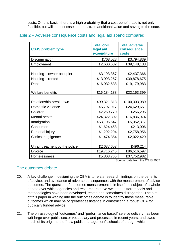costs. On this basis, there is a high probability that a cost-benefit ratio is not only feasible, but will in most cases demonstrate additional value and saving to the state.

| <b>CSJS problem type</b>       | <b>Total civil</b><br>legal aid<br>expenditure | <b>Total adverse</b><br>consequence<br><b>costs</b> |
|--------------------------------|------------------------------------------------|-----------------------------------------------------|
| <b>Discrimination</b>          | £768,528                                       | £3,794,839                                          |
| Employment                     | £2,600,682                                     | £39,148,133                                         |
| Housing - owner occupier       | £3,193,367                                     | £2,437,366                                          |
| Housing - rented               | £13,093,267                                    | £39,878,675                                         |
| Debt                           | £16,032,638                                    | £19,179,983                                         |
| <b>Welfare benefits</b>        | £16,184,188                                    | £33,163,399                                         |
| Relationship breakdown         | £99,321,813                                    | £100,303,089                                        |
| Domestic violence              | £5,797,917                                     | £24,629,651                                         |
| Children                       | £2,260,770                                     | £256,295                                            |
| Mental health                  | £24,322,302                                    | £16,836,974                                         |
| Immigration                    | £53,106,547                                    | £5,352,317                                          |
| Consumer                       | £1,624,458                                     | £213,006                                            |
| Personal injury                | £1,292,204                                     | £2,758,956                                          |
| Clinical negligence            | £1,474,354                                     | £2,022,429                                          |
| Unfair treatment by the police | £2,687,657                                     | £496,214                                            |
| <b>Divorce</b>                 | £19,716,245                                    | £86,516,597                                         |
| Homelessness                   | £5,808,765                                     | £37,752,982                                         |

#### Table 2 – Adverse consequence costs and legal aid spend compared

Source: data from the CSJS 2007

#### The outcomes debate

- 20. A key challenge in designing the CBA is to relate research findings on the benefits of advice, and avoidance of adverse consequences with the measurement of advice outcomes. The question of outcomes measurement is in itself the subject of a whole debate over which agencies and researchers have sweated, different tools and methodologies have been developed, tested and sometimes disregarded. The aim of this paper in wading into the outcomes debate is to identify those measurable outcomes which may be of greatest assistance in constructing a robust CBA for publically funded advice.
- 21. The phraseology of "outcomes" and "performance based" service delivery has been writ large over public sector vocabulary and processes in recent years, and owes much of its origin to the "new public management" schools of thought which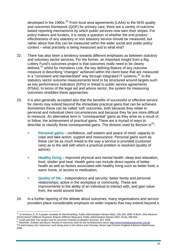developed in the 1990s.<sup>[20](#page-9-0)</sup> From local area agreements (LAAs) to the NHS quality and outcomes framework (QOF) for primary care, there are a variety of outcome based reporting mechanisms by which public services now earn their stripes. For policy makers and funders, it is rarely a question of whether the end product effectiveness of any statutory or non statutory service should be measured, but rather about how this can be measured within the wider social and public policy context – what precisely is being measured and to what end?

- 22. There has also been a tendency towards different emphases as between statutory and voluntary sector services. For the former, an important insight from a Big Lottery Fund's outcomes project is that outcomes really need to be clearly defined,<sup>[21](#page-9-1)</sup> whilst for Homeless Link, the key defining feature of any outcome measure is describing "changes" achieved within the client base that are measured in a "consistent and standardised" way through integrated IT systems. $^{22}$  $^{22}$  $^{22}$  In the statutory sector outcome measurements tend to be structured around targets such as key performance indicators (KPIs) or linked to public service agreements (PSAs). In terms of the legal aid and advice sector, the system for measuring outcomes straddles these approaches.
- 23. It is also generally accepted also that the benefits of successful or effective service for clients may extend beyond the immediate practical gains that can be achieved. Sometimes these can be called 'soft' outcomes, both because they relate to personal and individual client circumstances and because they far are more difficult to measure. An alternative term is "consequential" gains as they arise as a result of, or follow, the achievement of practical gains. There are a myriad of ways to describe or classify these consequential gains. The division used by Benson is<sup>[23](#page-9-3)</sup>:
	- **Personal gains**  confidence, self esteem and peace of mind; capacity to cope and take action; support and reassurance. Personal gains such as these can be as much linked to the way a service is provided (customer care) as to the skill with which a practical problem is resolved (quality of advice);
	- **Healthy living** improved physical and mental health; sleep and relaxation; food, shelter and heat. Health gains can include direct reports of better health as well as factors associated with healthy living such as better food, a warm home, or access to medication;
	- **Quality of life** independence and security; better family and personal relationships; active in the workplace or community. These are improvements to the ability of an individual to interact with, and gain value from, the world around them.
- 24. In a further layering of the debate about outcomes, many organisations and service providers place considerable emphasis on wider impacts that may extend beyond a

<span id="page-9-0"></span> $\overline{a}$ 20 D Ammons, D. N. *A proper mentality for benchmarking*. Public Administration Review 59(2), 105-109. 1999. R Behn, *Why Measure*  Definitions, D. IV. A proper memany for benchmaning. Factor National Review 2003, 63 (5), 586-603.<br>
Performance? Different Purposes Require Different Measures. Public Administration Review 2003, 63 (5), 586-603.<br>
<sup>21</sup> Cupi

<span id="page-9-1"></span>

<span id="page-9-2"></span>

<span id="page-9-3"></span><sup>2006</sup>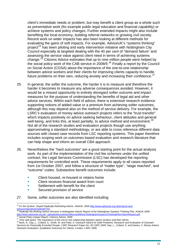client's immediate needs or problem, but may benefit a client group as a whole such as preventative work (for example public legal education and financial capability) or achieve systems and policy changes. Further extended impacts might also include benefiting the local economy, building referral networks or growing civil society. Recent work on wider impacts has also been looking at different methods for evaluating the gains of soft impacts. For example, AdviceUK's "systems thinking" project<sup>[24](#page-10-0)</sup> has been piloting and early intervention initiative with Nottingham City Council especially at targeted dealing with the 40 per cent of "demand failure" and assessing the service value against client need in terms of achieving systems change.<sup>[25](#page-10-1)</sup> Citizens Advice estimates that up to nine million people were helped by the social policy work of the CAB service in 2008/9.<sup>[26](#page-10-2)</sup> Finally a report by the Council on Social Action (COSA) about the importance of the one-to-one relationship between advice workers and their clients for improving clients capacity to handle future problems on their own, reducing anxiety and increasing their confidence. $^{27}$  $^{27}$  $^{27}$ 

- 25. In general, the softer the outcome, the harder it is to measure and therefore the harder it becomes to measure any adverse consequences avoided. However, it would be a missed opportunity to entirely disregard softer outcome and impact measures for the purpose of understanding the benefits of legal aid and other advice services. Within each field of advice, there is extensive research evidence supporting notions of added value or a premium from achieving softer outcomes, although this may depend also on the method of service delivery. For example, the LSRC's evaluation of money advice outreach projects refers to the "trust transfer" which impacts positively on advice seeking behaviour, client attitudes and general well-being, and links this, at least partially, to advice method and environment.<sup>[28](#page-10-4)</sup> Not all of the research studies and evaluation projects though use anything approximating a standard methodology, or are able to cross reference different data sources with closed case records from LSC reporting systems. This paper therefore includes scoping work on outcomes based evaluation and research literature that can help shape and inform an overall CBA approach.
- 26. Nevertheless the "hard outcomes" are a good starting point for the actual analysis work. As part of the implementation of the civil fee schemes under the unified contract, the Legal Services Commission (LSC) has developed the reporting requirements for controlled work. These requirements apply to all cases reported from 1st October 2007, and follow a structure of "matter type", "stage reached", and "outcome" codes. Substantive benefit outcomes include:
	- Client housed, re-housed or retains home
	- Client receives financial award from court
	- Settlement with benefit for the client
	- **Secured provision of service**
- 27. Some, softer outcomes are also identified including:

<span id="page-10-0"></span> $\overline{a}$ <sup>24</sup> *It's the System, Stupid! Radically Rethinking Advice*. ASAUK, 2008 [http://www.adviceuk.org.uk/projects-and](http://www.adviceuk.org.uk/projects-and-resources/projects/radical/ITSS)[resources/projects/radical/ITSS 25](http://www.adviceuk.org.uk/projects-and-resources/projects/radical/ITSS) *Radically Re-thinking Advice Services in Nottingham* Interim Report of the Nottingham Systems Thinking Pilot, ASAUK 2009

<span id="page-10-1"></span>[http://www.adviceuk.org.uk/\\_uploads/documents/1MicrosoftWord-NottinghamSystemsThinkingPilot-InterimReport.pdf](http://www.adviceuk.org.uk/_uploads/documents/1MicrosoftWord-NottinghamSystemsThinkingPilot-InterimReport.pdf)<br>[26](http://www.adviceuk.org.uk/_uploads/documents/1MicrosoftWord-NottinghamSystemsThinkingPilot-InterimReport.pdf) Social Policy Impact Report, Citizens Advice, 2009<br><sup>27</sup> Time well-spent: The importance of the one-to one rel

<span id="page-10-3"></span><span id="page-10-2"></span>

<span id="page-10-4"></span>*Services for Financially Excluded People*, LSRC Research Paper No. 26 LSRC 2009, Day, L., Collard, S. and Davies, V. *Money Advice Outreach Evaluation: Qualitative Outcomes for Clients*, London, LSRC 2008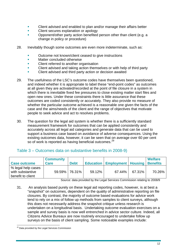- Client advised and enabled to plan and/or manage their affairs better
- **EXECUTE:** Client secures explanation or apology
- **•** Opponent/other party action benefited person other than client (e.g. a change in policy or procedure)
- 28. Inevitably though some outcomes are even more indeterminate, such as:
	- **•** Outcome not known/client ceased to give instructions
	- **Natter concluded otherwise**
	- Client referred to another organisation
	- Client advised and taking action themselves or with help of third party
	- Client advised and third party action or decision awaited
- 29. The usefulness of the LSC's outcome codes have themselves been questioned, and indeed whether it is appropriate to label these "end-point codes" as outcomes at all given they are activated/recorded at the point of file closure in a system in which there is inevitable fixed fee pressures to close existing matter start files and open new ones. Under these constraints there is little assurance that these outcomes are coded consistently or accurately. They also provide no measure of whether the particular outcome achieved is a reasonable one given the facts of the case and the aims/needs of the client and the range of objectives that motivate people to seek advice and act to resolves problems.
- 30. The question for the legal aid system is whether there is a sufficiently standard measurement framework for outcomes that can be applied consistently and accurately across all legal aid categories and generate data that can be used to support a business case based on avoidance of adverse consequences. Using the existing outcomes data, however, it can be seen that on average over 60 per cent so of work is reported as having beneficial outcomes.<sup>[29](#page-11-0)</sup>

#### Table 3 – Outcomes data on substantive benefits in 2008-9)

| <b>Case outcome</b>                                         | <b>Community</b><br><b>Care</b> | <b>Debt</b>   |        | <b>Education   Employment   Housing   Benefits</b> |        | <b>Welfare</b> |
|-------------------------------------------------------------|---------------------------------|---------------|--------|----------------------------------------------------|--------|----------------|
| % legal help cases<br>with substantive<br>benefit to client |                                 | 59.59% 76.31% | 59.12% | 67.44%                                             | 67.31% | 70.26%         |

Source: data provided by the Legal Services Commission relating to 2008/9

31. An analysis based purely on these legal aid reporting codes, however, is at best a "snapshot" on outcomes, dependent on the quality of administrative reporting on file closures. By contrast, the majority of outcome based evaluations for advice work tend to rely on a mix of follow up methods from samples to client surveys, although this does not necessarily address the snapshot critique unless research is undertaken on a longitudinal basis. Undertaking outcome evaluation exercises on a sample and survey basis is now well entrenched in advice sector culture. Indeed, all Citizens Advice Bureaux are now routinely encouraged to undertake follow up surveys on the basis of client sampling. Some noticeable examples include:

<span id="page-11-0"></span> $\overline{a}$ <sup>29</sup> Data provided by the Legal Services Commission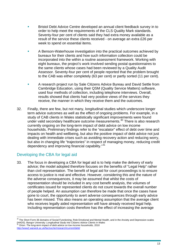- Bristol Debt Advice Centre developed an annual client feedback survey in to order to help meet the requirements of the CLS Quality Mark standards. Seventy-four per cent of clients said they had extra money available as a result of the service these clients received - on average an extra £26 per week to spend on essential items.
- A Benson-Waterhouse investigation into the practical outcomes achieved by bureaux for their clients and how such information collection could be incorporated into the within a routine assessment framework. Working with eight bureaux, the project's work involved sending postal questionnaires to the same clients whose cases had been reviewed by a Quality Audit Assessor. Seventy-four per cent of people reported that the problem brought to the CAB was either completely (63 per cent) or partly sorted (11 per cent).
- A research project run by Sale Citizens Advice Bureau and David Settle from Cambridge Education, using their QSM (Quality Service Matters) software, used four methods of collection, including telephone interviews. Overall, results showed that clients had very positive views of the services they receive, the manner in which they receive them and the outcomes.
- 32. Finally, there are few, but not many, longitudinal studies which underscore longer term advice outcomes as well as the effect of ongoing problems. For example, in a study of CAB clients in Wales statistically significant improvements were found under valid secondary healthcare outcome measurements. $30$  There is also research currently ongoing on the long-term impact of debt advice on low income households. Preliminary findings refer to the "escalator" effect of debt over time and impacts on health and wellbeing, but also the positive impact of debt advice not just dealing with immediate crises such as avoiding recovery action and reducing worry, but also in changing life "trajectories" in respect of managing money, reducing credit dependency and improving financial capability."<sup>[31](#page-12-1)</sup>

#### Developing the CBA for legal aid

 $\overline{a}$ 

33. The focus in developing a CBA for legal aid is to help make the delivery of early advice; the model adopted therefore focuses on the benefits of "Legal Help" rather than civil representation. The benefit of legal aid for court proceedings is to ensure access to justice is real and effective. However, considering this and the nature of the adverse consequences, it may be assumed that whilst the costs of representation should be included in any cost benefit analysis, the volumes of certificates issued for represented clients do not count towards the overall number of people helped. An assumption can therefore be made that once the cases have gone to court, the opportunity to avert adverse consequences through early advice has been missed. This also means an operating assumption that the average client who receives legally aided representation will have already received legal help. Including representation costs therefore has the effect of increasing the average

<span id="page-12-1"></span><span id="page-12-0"></span> $^{30}$  The Short Form-36 domains of Social Functioning, Role Emotional and Mental Health, and in the Anxiety and Depression scales (HADS). Bangor University: *Longitudinal Study into Citizens Advice Clients in Wales* 31 Orton: *The long-term impact of debt advice on low income households,* <sup>2010</sup> <http://www2.warwick.ac.uk/fac/soc/ier/research/current/debt/>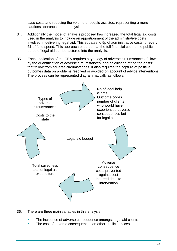case costs and reducing the volume of people assisted, representing a more cautions approach to the analysis.

- 34. Additionally the model of analysis proposed has increased the total legal aid costs used in the analysis to include an apportionment of the administrative costs involved in delivering legal aid. This equates to 5p of administrative costs for every £1 of fund spend. This approach ensures that the full financial cost to the public purse of legal aid can be factored into the analysis.
- 35. Each application of the CBA requires a typology of adverse circumstances, followed by the quantification of adverse circumstances, and calculation of the "on-costs" that follow from adverse circumstances. It also requires the capture of positive outcomes data on problems resolved or avoided on account of advice interventions. The process can be represented diagrammatically as follows.



- 36. There are three main variables in this analysis:
	- The incidence of adverse consequence amongst legal aid clients
	- The cost of adverse consequences on other public services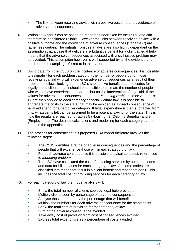- The link between receiving advice with a positive outcome and avoidance of adverse consequences.
- 37. Variables A and B can be based on research undertaken by the LSRC and can therefore be considered reliable. However the links between receiving advice with a positive outcome and the avoidance of adverse consequences (Variable C) are rather less certain. The outputs from this analysis are also highly dependant on the assumption that a case that delivers a substantive benefit for a client at legal help means that the adverse consequences associated with a civil justice problem may be avoided. This assumption however is well supported by all the evidence and hard outcome sampling referred to in this paper.
- 38. Using data from the CSJS on the incidence of adverse consequences, it is possible to estimate - for each problem category - the number of people out of those receiving legal aid who will experience adverse consequences as a result of their problem. It follows looking at the LSC's substantive benefit outcome codes for legally aided clients, that it should be possible to estimate the number of people who would have experienced problems but for the intervention of legal aid. If the values for adverse consequences, taken from *Mounting Problems* (see Appendix 1), are then applied to each category of social welfare law, it is possible to aggregate the costs to the state that may be avoided as a direct consequence of legal aid spend for a particular category. If legal expenditure is then subtracted from this, whatever is left can be assumed to be a potential saving for the state. This is how the results are reached for tables 5 (Housing), 7 (Debt), 8(Benefits) and 9 (Employment). The detailed calculations and modelling for each category can be found in the appendices.
- 39. The process for constructing this proposed CBA model therefore involves the following steps:
	- The CSJS identifies a range of adverse consequences and the percentage of people that will experience those within each category of law.
	- **For each adverse consequence it is possible to calculate a cost, referenced** to *Mounting problems.*
	- The LSC have calculated the cost of providing services by outcome codes and data for billed cases for each category of law. Outcome codes are classified into those that result in a client benefit and those that don't. This includes the total cost of providing services for each category of law.
- 40. For each category of law the model analysis will:
	- **Show the total number of clients seen by legal help providers**
	- **Multiply clients seen by percentage of adverse consequences**
	- **Analyse those numbers by the percentage that will benefit**
	- **Multiply the numbers for each adverse consequence for the stand costs**
	- Show the total cost of provision for that category of law
	- Sum of the adverse consequence avoided
	- Take away cost of provision from cost of consequences avoided
	- Express total expenditure as a percentage of costs avoided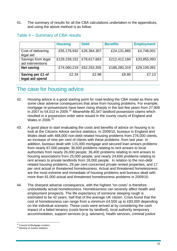41. The summary of results for all the CBA calculations undertaken in the appendices, and using the above method is as follow.

|                                         | <b>Housing</b> | <b>Debt</b> | <b>Benefits</b> | <b>Employment</b> |
|-----------------------------------------|----------------|-------------|-----------------|-------------------|
| Cost of delivering<br>legal aid         | £55,178,932    | £26,364,307 | £24,131,865     | £4,746,001        |
| Savings from legal<br>aid interventions | £129,239,152   | £78,617,663 | £212,412,184    | £33,855,093       |
| <b>Net saving</b>                       | £74,060,219    | £52,253,355 | £188,280,319    | £29,109,091       |
| Saving per £1 of<br>legal aid spend     | £2.34          | £2.98       | £8.80           | £7.13             |

#### Table 4 – Summary of CBA results

## The case for housing advice

- 42. Housing advice is a good starting point for road-testing the CBA model as there are some clear adverse consequences that arise from housing problems. For example, mortgage re-possessions have been rising sharply in the last few years from 27,909 in 2007 to 54,013 in 2009.<sup>[32](#page-15-0)</sup> Meanwhile  $80,347$  landlord possession claims which resulted in a possession order were issued in the county courts of England and Wales in 2009.<sup>[33](#page-15-1)</sup>
- 43. A good place to start evaluating the costs and benefits of advice on housing is to look at the Citizens Advice service statistics. In 2009/10, bureaux in England and Wales dealt with 468,000 non-debt related housing problems from 278,000 clients, an increase of nine per cent of clients with these problems from last year. In addition, bureaux dealt with 115,000 mortgage and secured loan arrears problems from nearly 67,000 people; 36,600 problems relating to rent arrears to local authorities from nearly 26,000 people; 36,400 problems relating to rent arrears to housing associations from 25,000 people, and nearly 24,600 problems relating to rent arrears to private landlords from 18,000 people. In relation to the non-debt related housing problems, 29 per cent concerned private rented properties, and 17 per cent actual or threatened homelessness. Actual and threatened homelessness are the most extreme and immediate of housing problems and bureaux dealt with more than 81,000 actual and threatened homelessness problems in 2009/10.
- 44. The sharpest adverse consequence, with the highest "on-costs" is therefore undoubtedly actual homelessness. Homelessness can severely affect health and employment prospects. The life expectancy of someone sleeping rough is estimated to be 42 years, half that of the average UK citizen. Crisis found that the cost of homelessness can range from a minimum £4,500 up to £83,000 depending on the individual scenario. These costs were arrived at by considering the cash impact of a failed tenancy (costs borne by landlord), local authority temporary accommodation, support services (e.g. advisers), health services, criminal justice

<span id="page-15-0"></span><sup>&</sup>lt;sup>32</sup> Council of Mortgage Lenders

<span id="page-15-1"></span><sup>&</sup>lt;sup>33</sup> Ministry of Justice statistics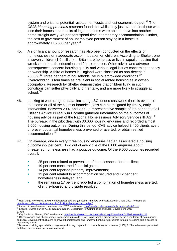system and prisons, potential resettlement costs and lost economic output.<sup>[34](#page-16-0)</sup> The CSJS *Mounting problems* research found that whilst only just over half of those who lose their homes as a results of legal problems were able to move into another home straight away, 46 per cent spend time in temporary accommodation. Further, the cost to government of an unemployed person staying in a hostel is approximately £15,500 per vear.<sup>[35](#page-16-1)</sup>

- 45. A significant amount of research has also been conducted on the effects of homelessness or inadequate accommodation on children. According to Shelter, one in seven children (1.6 million) in Britain are homeless or live in squalid housing that wrecks their health, education and future chances. Other advice and adverse consequences concern housing quality and various legal issues concerning tenancy or ownership. A third of homes in England were classified as non-decent in 2008/9.<sup>[36](#page-16-2)</sup> Three per cent of households live in overcrowded conditions.<sup>[37](#page-16-3)</sup> Overcrowding is four times as prevalent in social rented housing as in owneroccupation. Research by Shelter demonstrates that children living in such conditions can suffer physically and mentally, and are more likely to struggle at school.<sup>[38](#page-16-4)</sup>
- 46. Looking at wide range of data, including LSC funded casework, there is evidence that some or all of the costs of homelessness can be mitigated by timely, early intervention. Between 2007 and 2009, a representative sample of ten per cent of all Citizens Advice Bureaux in England gathered information on the outcomes of housing advice as part of the National Homelessness Advisory Service (NHAS).<sup>[39](#page-16-5)</sup> The bureaux in the pilot dealt with 30,000 housing enquiries and recorded almost 9,000 housing outcomes. During this period, CAB advice helped 3,400 clients avert or prevent potential homelessness prevented or averted, or obtain settled accommodation.[40](#page-16-6)
- 47. On average, one in every three housing enquiries had an associated a housing outcome (29 per cent). Two out of every five of the 6,000 enquiries about threatened homelessness had a positive outcome. Of the 9,000 outcomes recorded overall:
	- 25 per cent related to prevention of homelessness for the client;
	- <sup>1</sup> 19 per cent concerned financial gains;
	- 14 per cent reported property improvements;
	- 13 per cent related to accommodation secured and 12 per cent homelessness delayed, and
	- the remaining 17 per cent reported a combination of homelessness averted, client re-housed and dispute resolved.

<span id="page-16-0"></span> $\overline{a}$ <sup>34</sup> *How Many, How Much? Single homelessness and the question of numbers and costs*, London Crisis, 2003. Available at: [http://www.crisis.org.uk/downloads.php/121/HowManyHowMuch\\_full.pdf](http://www.crisis.org.uk/downloads.php/121/HowManyHowMuch_full.pdf)<br><sup>35</sup> Impact of Homelessness, Homeless Link, 2007. Available at: http://www.homeless.org.uk/policyandinfo/facts/costs

<span id="page-16-1"></span><sup>&</sup>lt;sup>36</sup> English Housing Survey (EHS) Headline Report, Department for Communities and Local Government, 2010

<span id="page-16-3"></span><span id="page-16-2"></span><sup>37</sup> *ibid*<br><sup>38</sup> Key Statistics, Shelter, 2007. Available at: http://media.shelter.org.uk/content/detail.asp?NewsAreaID=29&ReleaseID=111

<span id="page-16-5"></span><span id="page-16-4"></span><sup>&</sup>lt;sup>39</sup> Citizens Advice and Shelter work in partnership to provide NHAS - a partnership project funded by the Department of Communities and Local Government which aims to prevent homelessness and remedy other housing problems through increasing public access to high-quality advice.

<span id="page-16-6"></span><sup>40</sup> Bureaux providing specialist housing casework though reported considerably higher outcomes (1,800) for "homelessness prevented" that those providing only generalist casework.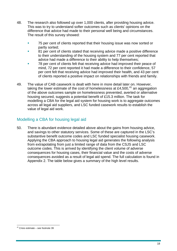- 48. The research also followed up over 1,000 clients, after providing housing advice. This was to try to understand softer outcomes such as clients' opinions on the difference that advice had made to their personal well being and circumstances. The result of this survey showed:
	- **75 per cent of clients reported that their housing issue was now sorted or** partly sorted;
	- 81 per cent of clients stated that receiving advice made a positive difference to their understanding of the housing system and 77 per cent reported that advice had made a difference to their ability to help themselves;
	- 78 per cent of clients felt that receiving advice had improved their peace of mind, 72 per cent reported it had made a difference to their confidence, 57 per cent felt that receiving advice had improved their health, and 43 per cent of clients reported a positive impact on relationships with friends and family.
- 49. The value of CAB casework is dealt with here in more detail later on. However, taking the lower estimate of the cost of homelessness at £4,500, $41$  an aggregation of the above outcomes sample on homelessness prevented, averted or alternative housing secured, suggests a potential benefit of £15.3 million. The task for modelling a CBA for the legal aid system for housing work is to aggregate outcomes across all legal aid suppliers, and LSC funded casework results to establish the value of legal aid work.

#### Modelling a CBA for housing legal aid

50. There is abundant evidence detailed above about the gains from housing advice, and savings to other statutory services. Some of these are captured in the LSC's substantive benefit outcome codes and LSC funded specialist housing casework. Applying the CBA approach to housing legal aid generates the following analysis from extrapolating from just a limited range of data from the CSJS and LSC outcome codes. This is arrived by identifying the client volume of adverse consequences for housing cases, their financial value and the costs of adverse consequences avoided as a result of legal aid spend. The full calculation is found in Appendix 2. The table below gives a summary of the high level results.

<span id="page-17-0"></span> $\overline{a}$ <sup>41</sup> Crisis estimate – see footnote 39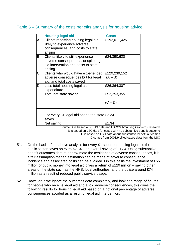#### Table 5 – Summary of the costs benefits analysis for housing advice

|   | <b>Housing legal aid</b>                                                                                                    | <b>Costs</b>              |
|---|-----------------------------------------------------------------------------------------------------------------------------|---------------------------|
| A | Clients receiving housing legal aid<br>likely to experience adverse<br>consequences, and costs to state<br>arising          | £192,011,425              |
| В | Clients likely to still experience<br>adverse consequences, despite legal<br>aid intervention and costs to state<br>arising | £24,390,620               |
| С | Clients who would have experienced<br>adverse consequences but for legal<br>aid, and total costs saved                      | £129,239,152<br>$(A - B)$ |
| D | Less total housing legal aid<br>expenditure                                                                                 | £26,364,307               |
|   | Total net state saving                                                                                                      | £52,253,355               |
|   |                                                                                                                             | $(C - D)$                 |
|   |                                                                                                                             |                           |
|   | For every £1 legal aid spent, the state £2.34<br>saves                                                                      |                           |
|   | Net saving                                                                                                                  | £1.34                     |

Source: A is based on CSJS data and LSRC's *Mounting Problems* research B is based on LSC data for cases with no substantive benefit outcome C is based on LSC data about substantive benefit outcomes D comes from 2008/9 billed cases data from the LSC

- 51. On the basis of the above analysis for every £1 spent on housing legal aid the public sector saves an extra £2.34 – an overall saving of £1.34. Using substantive benefit outcomes data to approximate the avoidance of adverse consequences, it is a fair assumption that an estimation can be made of adverse consequence incidence and associated costs can be avoided. On this basis the investment of £55 million of public money into legal aid gives a return of £129 million – saving other areas of the state such as the NHS, local authorities, and the police around £74 million as a result of reduced public service usage.
- 52. However, if we ignore the outcomes data completely, and look at a range of figures for people who receive legal aid and avoid adverse consequences, this gives the following results for housing legal aid based on a notional percentage of adverse consequences avoided as a result of legal aid intervention.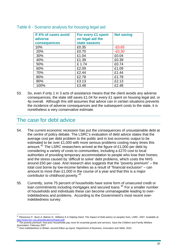| If X% of cases avoid | For every £1 spent | <b>Net saving</b> |
|----------------------|--------------------|-------------------|
| adverse              | on legal aid the   |                   |
| consequences         | state sasaves      |                   |
| 10%                  | £0.35              | $-E0.65$          |
| 20%                  | £0.70              | $-E0.30$          |
| 30%                  | £1.04              | £0.04             |
| 40%                  | £1.39              | £0.39             |
| 50%                  | £1.74              | £0.74             |
| 60%                  | £2.09              | £1.09             |
| 70%                  | £2.44              | £1.44             |
| 80%                  | £2.78              | £1.78             |
| 80%                  | £3.13              | £2.13             |
| 100%                 | £3.48              | £2.48             |

#### Table 6 - Scenario analysis for housing legal aid

53. So, even if only 1 in 3 acts of assistance means that the client avoids any adverse consequences, the state still saves £1.04 for every £1 spent on housing legal aid, or 4p overall. Although this still assumes that advice can in certain situations prevents the incidence of adverse consequences and the subsequent costs to the state, it is nonetheless a very conservative estimate.

## The case for debt advice

- 54. The current economic recession has put the consequences of unsustainable debt at the centre of policy debate. The LSRC's evaluation of debt advice states that the average cost per debt problem to the public and in lost economic output to be estimated to be over £1,000 with more serious problems costing many times this amount.<sup>[42](#page-19-0)</sup> The LSRC researchers arrived at the figure of £1,000 per debt by considering a variety of costs to communities, including a £270 cost to local authorities of providing temporary accommodation to people who lose their homes; and the stress caused by 'difficult to solve' debt problems, which costs the NHS around £50 per case. And research also suggests that the "poverty premium" – the total cost borne by low-income families as a result of "financial exclusion" – can amount to more than £1,000 in the course of a year and that this is a major contributor to childhood poverty.<sup>[43](#page-19-1)</sup>
- 55. Currently, some 75 percent of households have some form of unsecured credit or loan commitments including mortgages and secured loans.<sup>[44](#page-19-2)</sup> For a smaller number of households and individuals these can become unmanageable leading to overindebtedness and problems. According to the Government's most recent overindebtedness survey:

<span id="page-19-0"></span> $\overline{a}$ <sup>42</sup> *Pleasence P, Buck A, Balmer N, Williams K A Helping Hand: The Impact of Debt advice on peoples lives,* LSRC, 2007. Available at: <http://www.lsrc.org.uk/publications/Impact.pdf>

<span id="page-19-1"></span><sup>43</sup> *The poverty premium: how poor households pay more for essential goods and services,* Save the Children and Family Welfare Association, February 2007<br>44 Over in the Core

<span id="page-19-2"></span><sup>44</sup> *Over-indebtedness in Britain: second follow up report,* Department of Business, Innovation and Skills, 2010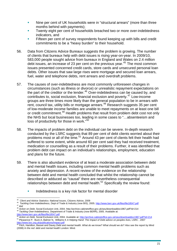- Nine per cent of UK households were in "structural arrears" (more than three months behind with payments);
- Twenty eight per cent of households breached two or more over-indebtedness indicators, and
- Fifteen per cent of survey respondents found keeping up with bills and credit commitments to be a "heavy burden" to their household.
- 56. Data from Citizens Advice Bureaux suggests the problem is growing. The number of clients that bureaux help with debt issues is rising year-on-year. In 2009/10, 583,000 people sought advice from bureaux in England and Wales on 2.4 million debt issues, an increase of 23 per cent on the previous year.<sup>[45](#page-20-0)</sup> The most common issues presented concerned credit cards, store cards and unsecured personal loan debts. Other issues that saw large rises were mortgage and secured loan arrears, fuel, water and telephone debts, rent arrears and overdraft problems.
- 57. The causes of over-indebtedness are most commonly unforeseen changes in circumstances (such as illness or divorce) or unrealistic repayment expectations on the part of the creditor or the lender.<sup>[46](#page-20-1)</sup> Over-indebtedness can be caused by, and contributes to, social exclusion, financial exclusion and poverty.[47](#page-20-2) Low-income groups are three times more likely than the general population to be in arrears with rent, council tax, utility bills or mortgage arrears.<sup>[48](#page-20-3)</sup> Research suggests 35 per cent of low-moderate income families are unable to meet repayments on at least one bill or low moderate meeting farming and the transition problem debt cost not only the NHS but local businesses too, leading in some cases to "…absenteeism and loss of productivity for those in work."[50](#page-20-5)
- 58. The impacts of problem debt on the individual can be severe. In-depth research conducted by the LSRC suggests that 89 per cent of debt clients worried about their problems most or all of the time.<sup>[51](#page-20-6)</sup> Around 43 per cent of clients felt their health had suffered to some extent, while around 60 per cent said they had received treatment, medication or counselling as a result of their problems. Further, it was identified that problem debt can impact on an individual's relationships, employment, education and plans for the future.
- 59. There is also abundant evidence of at least a moderate association between debt and mental health issues, including common mental health problems such as anxiety and depression. A recent review of the evidence on the relationship between debt and mental health concluded that whilst the relationship cannot be described or adduced as "causal" there are nevertheless consequential relationships between debt and mental health.<sup>[52](#page-20-7)</sup> Specifically the review found:
	- **Indebtedness is a key risk factor for mental disorder**

 $\overline{a}$ 

<span id="page-20-1"></span><span id="page-20-0"></span><sup>&</sup>lt;sup>45</sup> Client and Advice Statistics: National Issues, Citizens Advice, 2009<br><sup>46</sup> Tackling Over-Indebtedness, Dept of Trade & Industry (now BIS), 2005.<http://www.berr.gov.uk/files/file18547.pdf><br><sup>47</sup> ibid<br><sup>48</sup> Action on Debt

<span id="page-20-3"></span><span id="page-20-2"></span>

<span id="page-20-6"></span><span id="page-20-5"></span><span id="page-20-4"></span><sup>&</sup>lt;u><http://www.berr.gov.uk/files/file18547.pdf></u><br><sup>50</sup> A*ction on Debt,* Social Exclusion Unit, 2004. Available at: <u><http://archive.cabinetoffice.gov.uk/seu/downloaddoc1967.pdf?id=214></u><br><sup>51</sup> Pleasence P, Buck A, Balmer N, Will of Pleasence P., Buck A. Balmer N., Williams K. A Helping Hand: The Impact of Debt advice on peoples lives, LSRC, 2007<br><http://www.lsrc.org.uk/publications/Impact.pdf><br><sup>[52](http://www.lsrc.org.uk/publications/Impact.pdf)</sup> Fitch, Hamilton, Basset and Davey *Debt and mental* 

<span id="page-20-7"></span><sup>(2008)</sup> *In the red: debt and mental health* London: Mind.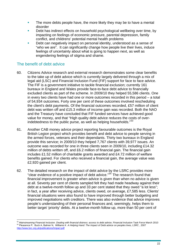- The more debts people have, the more likely they may be to have a mental disorder
- Debt has indirect effects on household psychological wellbeing over time, by impacting on feelings of economic pressure, parental depression, family conflict, and childrens' potential mental health problems
- Debt can negatively impact on personal identity, understood as a sense of "who we are". It can significantly change how people live their lives, induce feelings of uncertainty about what is going to happen next, as well as engendering feelings of stigma and shame.

#### The benefit of debt advice

- 60. Citizens Advice research and external research demonstrates some clear benefits to the take up of debt advice which is currently largely delivered through a mix of legal aid (LSC) and Financial Inclusion Fund (FIF) support for face to face advice. The FIF is a government initiative to tackle financial exclusion; currently 161 bureaux in England and Wales provide face-to-face debt advice to financially excluded clients as part of the scheme. In 2009/10 they helped 55,586 clients. One in every two clients have had one or more outcomes recorded in this period – a total of 54,934 outcomes. Forty one per cent of these outcomes involved rescheduling the client's debt payments. Of the financial outcomes recorded, £57 million of client debt was written off and £15.3 million of income gain was recorded. Both the NAO and the Treasury have concluded that FIF funded services have achieved good value for money, and that "High quality debt advice reduces the costs of over-indebtedness to the public purse, as well as helping households."<sup>[53](#page-21-0)</sup>
- 61. Another CAB money advice project reporting favourable outcomes is the Royal British Legion project which provides benefit and debt advice to people serving in the armed forces, veterans and their dependants. Thirty two bureaux in England provide this service; in 2009/10 they helped 7,767 clients with 39,977 issues. An outcome was recorded for one in three clients seen in 2009/10, including £14.32 million of debts written off, and £6.2 million of financial gain. The financial gain includes £1.52 million of charitable grants awarded and £4.72 million of welfare benefits gained. For clients who received a financial gain, the average value was £2,920 gained per client.
- 62. The detailed research on the impact of debt advice by the LSRC provides more "clear evidence of a positive impact of debt advice."[54](#page-21-1) The research found that financial improvement is greater when advice is given than when no advice is given at all. Seventy per cent of clients sampled felt they had made headway against their debt at a twelve-month follow up and 33 per cent stated that they owed "a lot less"; in fact, a year after receiving advice, clients owed, on average, £7,585 less. Clients' financial situations were also found to have improved through better budgeting and improved negotiations with creditors. There was also evidence that advice improves people's understanding of their personal finances and, seemingly, helps them to better target 'priority' debts. At a twelve-month follow up, more than 50 per cent of

<span id="page-21-1"></span><span id="page-21-0"></span><sup>&</sup>lt;sup>53</sup> Mainstreaming Financial Inclusion. Dealing with financial distress: access to debt advice, Financial Inclusion Task Force March 2010<br><sup>54</sup> Pleasence P, Buck A, Balmer N, Williams K A Helping Hand: The Impact of Debt ad <http://www.lsrc.org.uk/publications/Impact.pdf>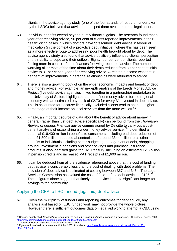clients in the advice agency study (one of the four strands of research undertaken by the LSRC) believed that advice had helped them avoid or curtail legal action.

- 63. Individual benefits extend beyond purely financial gains. The research found that a year after receiving advice, 90 per cent of clients reported improvements in their health; citing cases in which doctors have "prescribed" debt advice in favour of medication (in the context of a proactive debt initiative), where this has been seen as a more effective route to addressing poor health brought about by debt. The advice agency study also found that advice positively influenced clients' perception of their ability to cope and their outlook. Eighty four per cent of clients reported feeling more in control of their finances following receipt of advice. The number worrying all or most of the time about their debts reduced from 89 per cent at initial advice to 31 per cent a year after receiving advice. A related outcome was that 70 per cent of improvements in personal relationships were attributed to advice.
- 64. There is also a growing body of on the wider economic impacts and benefit of debt and money advice. For example, an in-depth analysis of the Leeds Money Advice Project (five debt advice agencies linked together in a partnership) undertaken by the University of Salford highlighted the benefit of money advice for the regional economy with an estimated pay back of £2.70 for every £1 invested in debt advice. This is accounted for because financially excluded clients tend to spend a higher percentage of their income on local services than the more well off.<sup>[55](#page-22-0)</sup>
- 65. Finally, an important source of data about the benefit of advice about money in general (rather than just debt advice specifically) can be found from the *Thorensen Review of generic financial advice* commissioned by Deloitte to carry out a cost-benefit analysis of establishing a wider money advice service.<sup>[56](#page-22-1)</sup> It identified a potential £16,400 million in benefits to consumers, including bad debt reduction of up to £1,800 million, reduced absenteeism of around £344 million, plus other benefits to individuals including better budgeting management of debt, shopping around, investment in pensions and other savings and purchase insurance products. It also identified gains for HM Treasury, including an estimated £2.6 billion in pension credits and increased VAT receipts of £1,600 million.
- 66. It can be deduced from all the evidence referenced above that the cost of funding debt advice is considerably less than the cost of dealing with debt problems. The provision of debt advice is estimated at costing between £67 and £454. The Legal Services Commission has valued the cost of face-to-face debt advice at £196.<sup>[57](#page-22-2)</sup> These figures alone suggest that timely debt advice leads to significant longer-term savings to the community.

#### Applying the CBA to LSC funded (legal aid) debt advice

67. Given the multiplicity of funders and reporting outcomes for debt advice, any analysis just based on LSC funded work may not provide the whole picture. However there is sufficient outcomes data on legal aid work to attempt a CBA using

<span id="page-22-0"></span> $\overline{a}$ 55 Dayson, Conaty et all, *Financial Inclusion Initiatives Economic impact and regeneration in city economies: The case of Leeds,* 2009 http://www.communityfinance.salford.ac.uk/pdf/Leeds%20report%20final.pdf<br><sup>56</sup> Thorensen Review of generic financial advice, HMT 2008<br><sup>57</sup> Figure excludes VAT; accurate as at October 2007. Available at: <u>http://www.legalser</u>

<span id="page-22-2"></span><span id="page-22-1"></span>[\\_Mar\\_2007.pdf](http://www.legalservices.gov.uk/docs/main/Focus_53_-_Mar_2007.pdf)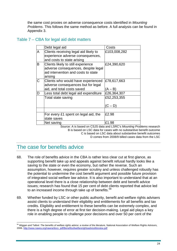the same cost proxies on adverse consequence costs identified in *Mounting Problems*. This follows the same method as before. A full analysis can be found in Appendix 3.

#### Table 7 – CBA for legal aid debt matters

|   | Debt legal aid                                                                                                              | Costs        |
|---|-----------------------------------------------------------------------------------------------------------------------------|--------------|
| A | Clients receiving legal aid likely to<br>experience adverse consequences,<br>and costs to state arising                     | £103,008,282 |
| B | Clients likely to still experience<br>adverse consequences, despite legal<br>aid intervention and costs to state<br>arising | £24,390,620  |
| C | Clients who would have experienced<br>adverse consequences but for legal                                                    | £78,617,663  |
|   | aid, and total costs saved                                                                                                  | (A – B)      |
| D | Less total debt legal aid expenditure                                                                                       | £26,364,307  |
|   | Total state saving                                                                                                          | £52,253,355  |
|   |                                                                                                                             | (C – D)      |
|   |                                                                                                                             |              |
|   | For every £1 spent on legal aid, the<br>state saves                                                                         | £2.98        |
|   | Net saving                                                                                                                  | £1.98        |

Source: A is based on CSJS data and LSRC's *Mounting Problems* research B is based on LSC data for cases with no substantive benefit outcome C is based on LSC data about substantive benefit outcomes D comes from 2008/9 billed cases data from the LSC

## The case for benefits advice

- 68. The role of benefits advice in the CBA is rather less clear cut at first glance, as supporting benefit take up and appeals against benefit refusal hardly looks like a saving to the state or even the economy, but rather the reverse. Such an assumption, however, requires greater scrutiny and unless challenged robustly has the potential to undermine the cost benefit argument and possible future provision of integrated social welfare law advice. It is also important to understand that at an operational level there is a close relationship between debt and benefit advice issues; research has found that 15 per cent of debt clients reported that advice led to an increased income through take up of benefits.<sup>[58](#page-23-0)</sup>
- 69. Whether funded by LSC or other public authority, benefit and welfare rights advisers assist clients to understand their eligibility and entitlements for all benefits and tax credits. Eligibility and entitlement to these benefits can be extremely complex, and there is a high degree of error at first tier decision-making. Legal aid plays a key role in enabling people to challenge poor decisions and over 50 per cent of the

<span id="page-23-0"></span> $\overline{a}$ <sup>58</sup> Wiggan and Talbot: *The benefits of welfare rights advice: a review of the literature,* National Association of Welfare Rights Advisors, 2006. [http://www.nawra.org/nawra/docs\\_pdf/Benefitsofwelfarerightsadvicelitreview.pdf](http://www.nawra.org/nawra/docs_pdf/Benefitsofwelfarerightsadvicelitreview.pdf)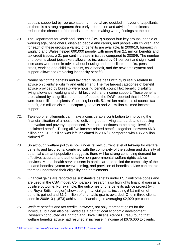appeals supported by representation at tribunal are decided in favour of appellants, so there is a strong argument that early information and advice for applicants reduces the chances of the decision-makers making wrong findings at the outset.

- 70. The Department for Work and Pensions (DWP) support four key groups: people of working age, pensioners, disabled people and carers, and people with children, and for each of these groups a variety of benefits are available. In 2009/10, bureaux in England and Wales helped 690,000 people, with more than 2.1 million benefits and tax credit issues, a 21 per cent increase in issues compared to 2008/9. The number of problems about jobseekers allowance increased by 61 per cent and significant increases were seen in advice about housing and council tax benefits, pension credit, working and child tax credits, child benefit, and the new employment and support allowance (replacing incapacity benefit).
- 71. Nearly half of the benefits and tax credit issues dealt with by bureaux related to advice on clients' eligibility and entitlement. The five largest categories of benefit advice provided by bureaux were housing benefit, council tax benefit, disability living allowance, working and child tax credit, and income support. These benefits are claimed by a significant number of people: the DWP reported that in 2008 there were four million recipients of housing benefit, 5.1 million recipients of council tax benefit, 2.6 million claimed incapacity benefits and 2.1 million claimed income support.
- 72. Take-up of entitlements can make a considerable contribution to improving the financial situation of a household, delivering better living standards and reducing deprivation and poverty experienced. Yet there continues to be a high level of unclaimed benefit. Taking all five income-related benefits together, between £6.3 billion and £10.5 billion was left unclaimed in 2007/8, compared with £35.2 billion claimed.[59](#page-24-0)
- 73. So although welfare policy is now under review, current level of take-up for welfare benefits and tax credits, combined with the complexity of the system and diversity of potential claimant population, suggests there will be strong continuing demand for effective, accurate and authoritative non-governmental welfare rights advice services. Mental health service users in particular tend to find the complexity of the tax and benefits system overwhelming, and provision of benefits advice can enable them to understand their eligibility and entitlements.
- 74. Financial gains are reported as substantive benefits under LSC outcome codes and are used in the CBA model. Comparable research also highlights financial gain as a positive outcome. For example, the outcomes of one benefits advice project (with the Royal British Legion) show strong financial gains, including £4.1 million of benefits gained and £1.2 million of charitable grants awarded. One in three clients seen in 2009/10 (1,873) achieved a financial gain averaging £2,920 per client.
- 75. Welfare benefits and tax credits, however, not only represent gains for the individual, but can also be viewed as a part of local economic development. Research conducted at Brighton and Hove Citizens Advice Bureau found that welfare benefits advice had resulted in increase in income of £676,000 to clients.

<span id="page-24-0"></span> $\overline{a}$ <sup>59</sup> [http://research.dwp.gov.uk/asd/income\\_analysis/jun\\_2009/0708\\_Summary.pdf](http://research.dwp.gov.uk/asd/income_analysis/jun_2009/0708_Summary.pdf)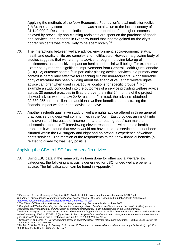Applying the methods of the New Economics Foundation's local multiplier toolkit (LM3), the study concluded that there was a total value to the local economy of  $£1,149,000.60$  $£1,149,000.60$  Research has indicated that a proportion of the higher incomes enjoyed by previously non-claiming recipients are spent on the purchase of goods and services, and research in Glasgow found that income gained for the city's poorer residents was more likely to be spent locally.<sup>[61](#page-25-1)</sup>

- 76. The interactions between welfare advice, environment, socio-economic status, health and quality of life are complex and multifaceted. However, a growing body of studies suggests that welfare rights advice, through improving take-up of entitlements, has a positive impact on health and social well being. For example an Exeter study reported significant improvements from General Health Questionnaire  $(GHQ-12)$  outcome scores.<sup>[62](#page-25-2)</sup> In particular placing advice services in a primary care context is particularly effective for reaching eligible non-recipients. A considerable body of literature has been building about the financial value that welfare rights advice can offer when used in particular locations for specific groups.<sup>[63](#page-25-3)</sup> For example a study conducted into the outcomes of a service providing welfare advice across 30 general practices in Bradford over the initial 24 months of the project showed advice workers saw 2,484 patients. $64$  In total, the advisers obtained £2,389,255 for their clients in additional welfare benefits, demonstrating the financial impact welfare rights advice can have.
- 77. Another in-depth qualitative study of welfare rights advice offered in three general practices serving deprived communities in the North East provides an insight into how even small increases of income in 'hard to reach groups' can make a substantial difference.<sup>[65](#page-25-5)</sup> Interviewing eleven respondents with chronic health problems it was found that seven would not have used the service had it not been situated within the GP surgery and eight had no previous experience of welfare rights services. The reaction of the respondents to their new financial benefits (all related to disability) was very positive.

#### Applying the CBA to LSC funded benefits advice

 $\overline{a}$ 

78. Using LSC data in the same way as been done for other social welfare law categories, the following analysis is generated for LSC funded welfare benefits advice. The full calculation can be found in Appendix 4.

<span id="page-25-0"></span><sup>60</sup> *Eleven plus to one,* University of Brighton, 2003. Available at: http://www.brightonhovecab.org.uk/pdfs/11to1.pdf *The Money Trail: Measuring your impact on the local economy using LM3*, New Economics Foundation, 2002. Available at:<br>http://www.neweconomics.org/gen/uploads/The%20Money%20Trail.pdf<br> $\frac{61}{2}$ 

<span id="page-25-2"></span><span id="page-25-1"></span><sup>&</sup>lt;sup>61</sup> The Effect of Citizens Advice Bureaux on the Glasgow economy, Fraser of Allander Institute, 2003.<br><sup>62</sup> Campbell and Winder: Exploring the relationships between provision of welfare benefits advice and the health of el longitudinal observational study and discussion of methodological issues. Health & Social Care in the Community 2007<br><sup>63</sup> Galvin, K. Sharples, A. & Jackson, D. *'Citizens Advice Bureaux in general practice: an illuminative* 

<span id="page-25-3"></span>in the Community, 2000 pp 277-282, 8 (4), Abbott, S. *'Prescribing welfare benefits advice in primary care: is it a health intervention, and if so, what sort?* Journal of Public Health Medicine, pp 307 -312, 2002 Vol. 24,

Greasley, P. and Small, N. Providing welfare advice in general practice: referrals, issues and outcomes, Health & Social Care in the

<span id="page-25-5"></span><span id="page-25-4"></span>Community, 2005 13, 3, 249-258.<br><sup>65</sup> Moffatt, S. White, M. Stacy, R. Downey, D. & Hudson, E *The impact of welfare advice in primary care: a qualitative study*, pp 295 -309, Critical Public Health, .2004 Vol. 14, No. 3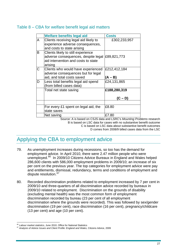#### Table 8 – CBA for welfare benefit legal aid matters

|   | <b>Welfare benefits legal aid</b>                                                                                           | <b>Costs</b>              |
|---|-----------------------------------------------------------------------------------------------------------------------------|---------------------------|
| A | Clients receiving legal aid likely to<br>experience adverse consequences,<br>and costs to state arising                     | £302,233,957              |
| B | Clients likely to still experience<br>adverse consequences, despite legal<br>aid intervention and costs to state<br>arising | £89,821,773               |
| C | Clients who would have experienced<br>adverse consequences but for legal<br>aid, and total costs saved                      | £212,412,184<br>(A – B)   |
| D | Less total benefits legal aid spend<br>(from billed cases data)                                                             | £24,131,865               |
|   | Total net state saving                                                                                                      | £188,280,319<br>$(C - D)$ |
|   |                                                                                                                             |                           |
|   | For every £1 spent on legal aid, the<br>state saves                                                                         | £8.80                     |
|   | Net saving                                                                                                                  | £7.80                     |

Source: A is based on CSJS data and LSRC's *Mounting Problems* research B is based on LSC data for cases with no substantive benefit outcome C is based on LSC data about substantive benefit outcomes D comes from 2008/9 billed cases data from the LSC

# Applying the CBA to employment advice

- 79. As unemployment increases during recessions, so too has the demand for employment advice. In April 2010, there were 2.47 million people who were unemployed.<sup>[66](#page-26-0)</sup> In 2009/10 Citizens Advice Bureaux in England and Wales helped 286,600 clients with 586,000 employment problems in 2009/10; an increase of six per cent on the previous year. The top categories for employment advice were pay and entitlements, dismissal, redundancy, terms and conditions of employment and dispute resolution.<sup>[67](#page-26-1)</sup>
- 80. Recorded discrimination problems related to employment increased by 7 per cent in 2009/10 and three-quarters of all discrimination advice recorded by bureaux in 2009/10 related to employment. Discrimination on the grounds of disability (excluding mental health) was the most common form of employment discrimination recorded by bureau (23 per cent of all employment discrimination where the grounds were recorded). This was followed by sex/gender discrimination (19 per cent), race discrimination (16 per cent), pregnancy/childcare (13 per cent) and age (10 per cent).

<span id="page-26-0"></span><sup>&</sup>lt;sup>66</sup> Labour market statistics, June 2010, Office for National Statistics

<span id="page-26-1"></span><sup>67</sup> Analysis of Advice Issues and Client Profile: England and Wales, Citizens Advice, 2009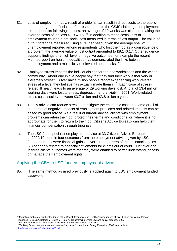- 81. Loss of employment as a result of problems can result in direct costs to the public purse through benefit claims. For respondents to the CSJS claiming unemployment related benefits following job loss, an average of 19 weeks was claimed, making the average costs of job loss £1,057.16.  $^{68}$  $^{68}$  $^{68}$  In addition to these costs, loss of employment caused a net social cost measured in terms of lost output. The value of output foregone measured using GDP per head; given the average spell of unemployment reported among respondents who lost their job as a consequence of a problem, the average value of lost output amounted to £8,140.17. Other evidence supports findings of a high level of negative outcomes, for example the recent Marmot report on health inequalities has demonstrated the links between unemployment and a multiplicity of elevated health risks.<sup>[69](#page-27-1)</sup>
- 82. Employee stress impacts the individuals concerned, the workplaces and the wider community. About one in five people say that they find their work either very or extremely stressful. Over half a million people report experiencing work-related stress at a level they believe has actually made them ill.<sup>[70](#page-27-2)</sup> Each case of stressrelated ill health leads to an average of 29 working days lost. A total of 13.4 million working days were lost to stress, depression and anxiety in 2001. Work-related stress costs society between £3.7 billion and £3.8 billion a year.
- 83. Timely advice can reduce stress and mitigate the economic cost and some or all of the personal negative impacts of employment problems and related impacts can be eased by good advice. As a result of bureau advice, clients with employment problems can retain their job, protect their terms and conditions, or, where it is not appropriate for them to return to their job, Citizens Advice Bureaux can help them financial compensation through tribunals.
- 84. The LSC fund specialist employment advice at 33 Citizens Advice Bureaux. In 2009/10, one in four outcomes from the employment advice given by LSCfunded bureaux were financial gains. Over three-quarters of these financial gains (78 per cent) related to financial settlements for clients out of court. Just over one in three clients outcomes were that they were enabled to better understand, access or manage their employment rights.

#### Applying the CBA to LSC funded employment advice

85. The same method as used previously is applied again to LSC employment funded casework.

<span id="page-27-0"></span> $\overline{a}$ <sup>68</sup> Mounting Problems: Further Evidence of the Social, Economic and Health Consequences of Civil Justice Problems, Pascoe Pleasence P, Buck A, Balmer M, Smith M, Patel A, Transforming Lives: Law and social process, 2007<br><sup>69</sup> *Fair Society, Healthy Lives* Marmot review of Health Inequalities, UCL 2009<br><sup>70</sup> Tackling Stress: the management stan

<span id="page-27-1"></span>

<span id="page-27-2"></span><http://www.hse.gov.uk/pubns/indg406.pdf>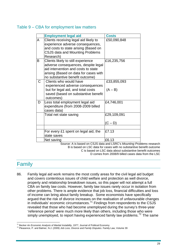#### Table 9 – CBA for employment law matters

|   | <b>Employment legal aid</b>                                                                                                                                                                  | <b>Costs</b>             |
|---|----------------------------------------------------------------------------------------------------------------------------------------------------------------------------------------------|--------------------------|
| A | Clients receiving legal aid likely to<br>experience adverse consequences,<br>and costs to state arising (Based on<br><b>CSJS data and Mounting Problems</b><br>Research)                     | £50,090,848              |
| B | Clients likely to still experience<br>adverse consequences, despite legal<br>aid intervention and costs to state<br>arising (Based on data for cases with<br>no substantive benefit outcome) | £16,235,756              |
| C | Clients who would have<br>experienced adverse consequences<br>but for legal aid, and total costs<br>saved (based on substantive benefit<br>outcomes)                                         | £33,855,093<br>$(A - B)$ |
| D | Less total employment legal aid<br>expenditure (from 2008-2009 billed<br>cases data)                                                                                                         | £4,746,001               |
|   | Total net state saving                                                                                                                                                                       | £29,109,091<br>$(C - D)$ |
|   | For every £1 spent on legal aid, the<br>state saves                                                                                                                                          | £7.13                    |
|   | Net saving                                                                                                                                                                                   | £6.13                    |

Source: A is based on CSJS data and LSRC's *Mounting Problems* research B is based on LSC data for cases with no substantive benefit outcome C is based on LSC data about substantive benefit outcomes D comes from 2008/9 billed cases data from the LSC

## Family

86. Family legal aid work remains the most costly areas for the civil legal aid budget and covers contentious issues of child welfare and protection as well divorce, property and relationship breakdown issues, so this paper will not attempt a full CBA on family law costs. However, family law issues rarely occur in isolation from other problems. There is ample evidence that job loss, financial difficulties and loss of income can bring about family breakup. Some economists have specifically argued that the risk of divorce increases on the realisation of unfavourable changes in individuals' economic circumstances.<sup>[71](#page-28-0)</sup> Findings from respondents to the CSJS revealed that those who had become unemployed during the survey's three-year 'reference period' were much more likely than others, including those who were simply unemployed, to report having experienced family law problems.<sup>[72](#page-28-1)</sup> The same

<span id="page-28-0"></span><sup>&</sup>lt;sup>71</sup> Becker An Economic Analysis of Marital Instability, 1977, Journal of Political Economy

<span id="page-28-1"></span><sup>71</sup> Becker *An Economic Analysis of Marital Instability*, 1977, Journal of Political Economy 72 Pleasence, P. and Balmer, N.J. (2009) *Job Loss, Divorce and Family Disputes*. Family Law, Volume 39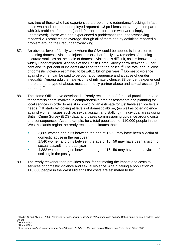was true of those who had experienced a problematic redundancy/sacking. In fact, those who had become unemployed reported 1.3 problems on average, compared with 0.6 problems for others (and 1.0 problems for those who were simply unemployed).Those who had experienced a problematic redundancy/sacking reported 2.3 problems on average, though all of them had by definition reported a problem around their redundancy/sacking.

- 87. An obvious level of family work where the CBA could be applied is in relation to obtaining domestic violence injunctions or other family law remedies. Obtaining accurate statistics on the scale of domestic violence is difficult, as it is known to be widely under-reported. Analysis of the British Crime Survey show between 23 per cent and 35 per cent of incidents are reported to the police.[73](#page-29-0) The total annual cost of domestic violence estimated to be £40.1 billion per year.<sup>[74](#page-29-1)</sup> Domestic violence against women can be said to be both a consequence and a cause of gender inequality. Among adult female victims of intimate violence, 33 per cent experienced more than one type of abuse, most commonly partner abuse and sexual assault (18 per cent).<sup>[75](#page-29-2)</sup>
- 88. The Home Office have developed a "ready reckoner tool" for local practitioners and for commissioners involved in comprehensive area assessments and planning for local services in order to assist in providing an estimate for justifiable service levels needs.<sup>[76](#page-29-3)</sup> It starts by looking at levels of domestic abuse, (as well as other violence against women issues such as sexual assault and stalking) in individual areas using British Crime Survey (BCS) data, and bases commissioning guidance around costs and consequences. As an example, for a total population of 110,000 people in the West Midlands region the ready reckoner estimates that:
	- 3,865 women and girls between the age of 16‐59 may have been a victim of domestic abuse in the past year;
	- 1,540 women and girls between the age of 16 59 may have been a victim of sexual assault in the past year;
	- 4,382 women and girls between the age of 16 59 may have been a victim of stalking in the past year.
- 89. The ready reckoner then provides a tool for estimating the impact and costs to services of domestic violence and sexual violence. Again, taking a population of 110,000 people in the West Midlands the costs are estimated to be:

<span id="page-29-0"></span><sup>&</sup>lt;sup>73</sup> Walby, S. and Allen, J. (2004), *Domestic violence, sexual assault and stalking: Findings from the* British Crime Survey (London: Home Office)<br><sup>74</sup> Home Office

<span id="page-29-3"></span><span id="page-29-2"></span><span id="page-29-1"></span><sup>74</sup> Home Office 75 Home Office 76 *Mainstreaming the Commissioning of Local Services to Address Violence against Women and Girls,* Home Office 2009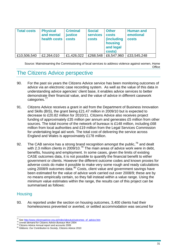| <b>Total costs</b> | <b>Physical</b><br>and mental<br>health costs | <b>Criminal</b><br><b>justice</b><br><b>costs</b> | <b>Social</b><br><b>services</b><br><b>costs</b> | <b>Other</b><br><b>costs</b><br><i>(including)</i><br>housing<br>and legal<br>costs) | <b>Human and</b><br>emotional<br><b>costs</b> |
|--------------------|-----------------------------------------------|---------------------------------------------------|--------------------------------------------------|--------------------------------------------------------------------------------------|-----------------------------------------------|
| £10,506,540        | £2,264,010                                    | £1,426,022                                        | £268,548                                         | £6,547,960                                                                           | £33,545,248                                   |

Source: Mainstreaming the Commissioning of local services to address violence against women, Home **Office** 

# The Citizens Advice perspective

- 90. For the past six years the Citizens Advice service has been monitoring outcomes of advice via an electronic case recording system. As well as the value of this data in understanding advice agencies' client base, it enables advice services to better demonstrate their financial value, and the value of advice in different casework categories.<sup>[77](#page-30-0)</sup>
- 91. Citizens Advice receives a grant in aid from the Department of Business Innovation and Skills (BIS), the grant being £21.47 million in 2009/10 but is expected to decrease to £20.82 million for 2010/11. Citizens Advice also receives project funding of approximately £35 million per annum and generates £5 million from other sources. The total income of the network of bureaux is £148 million, including £68 million from local authorities and £19 million from the Legal Services Commission for undertaking legal aid work. The total cost of delivering the service across England and Wales is approximately £178 million.
- 92. The CAB service has a strong brand recognition amongst the public,  $78$  and dealt with 2.3 million clients in 2009/10.<sup>[79](#page-30-2)</sup> The main areas of advice work were in debt, benefits, housing and employment. In some cases, given the limits of existing CASE outcomes data, it is not possible to quantify the financial benefit to either government or clients. However the different outcome codes and known proxies for adverse costs do make it possible to make very some rough and ready calculations using 2008/9 outcomes data.<sup>[80](#page-30-3)</sup> Costs, client value and government savings have been estimated for the value of advice work carried out over 2008/9; these are by no means empirically certain, so they fall instead within a value range. Using the minimum value estimates within the range, the results can of this project can be summarised as follows:

#### **Housing**

93. As reported under the section on housing outcomes, 3,400 clients had their homelessness prevented or averted, or settled accommodation was secured for

 $\overline{a}$ <sup>77</sup> See <u>http://www.citizensadvice.org.uk/index/aboutus/outcomes\_of\_advice.htm</u><br><sup>78</sup> Unmet demand for Citizens Advice Bureaux Mori 2004<br><sup>79</sup> Citizens Advice Annual report and accounts 2009<br><sup>80</sup> Gibbons: *Our Contribution* 

<span id="page-30-1"></span><span id="page-30-0"></span>

<span id="page-30-2"></span>

<span id="page-30-3"></span>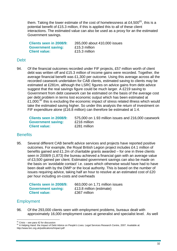them. Taking the lower estimate of the cost of homelessness at £4,500 $^{81}$  $^{81}$  $^{81}$ , this is a potential benefit of £15.3 million, if this is applied this to all of these client interactions. The estimated value can also be used as a proxy for an the estimated Government savings.

| Clients seen in 2008/9:   | 265,000 about 410,000 issues |
|---------------------------|------------------------------|
| <b>Government saving:</b> | £15.3 million                |
| <b>Client value:</b>      | £15.3 million                |

#### **Debt**

94. Of the financial outcomes recorded under FIF projects, £57 million worth of client debt was written off and £15.3 million of income gains were recorded. Together, the average financial benefit was £1,300 per outcome. Using this average across all the recorded casework undertaken for CAB clients, estimated saving to clients may be estimated at £281m, although the LSRC figures on advice gains from debt advice suggest that the real savings figure could be much larger. A £219 saving to Government from debt casework can be estimated on the basis of the average cost per debt problem in terms lost economic output which has been estimated at  $£1,000;$ <sup>[82](#page-31-1)</sup> this is excluding the economic impact of stress related illness which would take the estimated saving higher. So under this analysis the return of investment on FIF expenditure alone (£16.8 million) can therefore be estimated at 1:4.

| Clients seen in 2008/9:   | 575,000 on 1.93 million issues and 216,000 casework |
|---------------------------|-----------------------------------------------------|
| <b>Government saving:</b> | £216 million                                        |
| <b>Client value:</b>      | £281 million                                        |

#### **Benefits**

95. Several different CAB benefit advice services and projects have reported positive outcomes. For example, the Royal British Legion project includes £4.1 million of benefits gained and £1.2m of charitable grants awarded – for one in three clients seen in 2008/9 (1,873) the bureau achieved a financial gain with an average value of £3,500 gained per client. Estimated government savings can also be made on the basis on 'avoidable contact' i.e. cases which otherwise would have had to have been dealt with by the DWP or the local authority. This is based on the number of issues requiring advice, taking half an hour to resolve at an estimated cost of £20 per hour including on-costs and overheads

**Government saving:** £13.8 million (estimate) **Client value:** £367 million

**Clients seen in 2008/9:** 663,000 on 1.71 million issues

#### **Employment**

96. Of the 293,000 clients seen with employment problems, bureaux dealt with approximately 16,000 employment cases at generalist and specialist level. As well

 $81$  Crisis – see para 42 for discussion

<span id="page-31-1"></span><span id="page-31-0"></span><sup>82</sup> A Helping Hand: the Impact of Debt Advice on People's Lives. Legal Services Research Centre, 2007. Available at: http://www.lsrc.org.uk/publications/Impact.pdf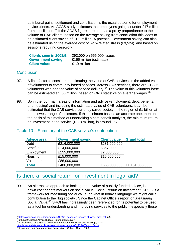as tribunal gains, settlement and conciliation is the usual outcome for employment advice clients. An ACAS study estimates that employees gain just under £17 million from conciliation.<sup>[83](#page-32-0)</sup> If the ACAS figures are used as a proxy proportionate to the volume of CAB clients, based on the average saving from conciliation this leads to an estimated client saving of £1.9 million. A potential Government saving can also be estimated using the average cost of work-related stress (£9,524), and based on sessions requiring casework.

| Clients seen in 2008/9:   | 293,000 on 555,000 issues |
|---------------------------|---------------------------|
| <b>Government saving:</b> | £155 million (estimate)   |
| <b>Client value:</b>      | £1.9 million              |

#### **Conclusion**

- 97. A final factor to consider in estimating the value of CAB services, is the added value of volunteers to community based services. Across CAB services, there are 21,335 volunteers who add the value of service delivery.<sup>[84](#page-32-1)</sup> The value of this volunteer base can be estimated at £86 million, based on ONS statistics on average wages.<sup>[85](#page-32-2)</sup>
- 98. So in the four main areas of information and advice (employment, debt, benefits, and housing) and including the estimated value of CAB volunteers, it can be estimated that the CAB service currently saves society in the region of £1 billion at a the lowest range of indicators. If this minimum base is an accurate one, then on the basis of this method of undertaking a cost benefit analysis, the minimum return on investment in the service (£178 million), is around 1:6.

| <b>Advice area</b> | <b>Government saving</b> | <b>Client value</b> | <b>Grand total</b>            |
|--------------------|--------------------------|---------------------|-------------------------------|
| Debt               | £216,000,000             | £281,000,000        |                               |
| <b>Benefits</b>    | £14,000,000              | £367,000,000        |                               |
| Employment         | £155,000,000             | £2,000,000          |                               |
| Housing            | £15,000,000              | £15,000,000         |                               |
| <b>Volunteers</b>  | £86,000,000              |                     |                               |
| <b>Total</b>       | £486,000,000             |                     | £665,000,000   £1,151,000,000 |

#### Table 10 – Summary of the CAB service's contribution

## Is there a "social return" on investment in legal aid?

99. An alternative approach to looking at the value of publicly funded advice, is to put down cost benefit markers on social value. Social Return on Investment (SROI) is a framework for measuring social value, or what in today's language we might call a contribution to the "big society". Since the Cabinet Office's report on *Measuring Social Value,[86](#page-32-3)* SROI has increasingly been referenced for its potential to be used as a tool for understanding and improving services to the public – especially those

 $\overline{a}$ <sup>83</sup> <u>http://www.acas.org.uk/media/pdf/j/a/NIESR\_Economic\_Impact\_of\_Acas\_Final.pdf</u>, p.5 <sup>84</sup> 2008/09 Citizens Advice Bureaux Information Survey<br><sup>85</sup> Calculations using figures from the Annual Survey of Hours and Earnings,

<span id="page-32-1"></span><span id="page-32-0"></span>

<span id="page-32-3"></span><span id="page-32-2"></span>[http://www.statistics.gov.uk/downloads/theme\\_labour/ASHE\\_2008/tab2\\_5a.xls](http://www.statistics.gov.uk/downloads/theme_labour/ASHE_2008/tab2_5a.xls) <sup>86</sup> *Measuring and Communicating Social Value,* Cabinet Office, 2009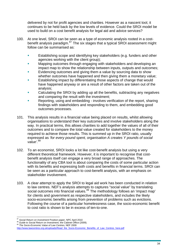delivered by not for profit agencies and charities. However as a nascent tool, it continues to be held back by the low levels of evidence. Could the SROI model be used to build on a cost benefit analysis for legal aid and advice services?

- 100. At one level, SROI can be seen as a type of economic analysis rooted in a costbenefit analysis paradigm. $87$  The six stages that a typical SROI assessment might follow can be summarised as:
	- **Establishing scope and identifying key stakeholders (e.g. funders and other** agencies working with the client group);
	- Mapping outcomes through engaging with stakeholders and developing an impact map to show the relationship between inputs, outputs and outcomes;
	- Evidencing outcomes and giving them a value by sourcing data to show whether outcomes have happened and then giving them a monetary value;
	- **Establishing impact by differentiating those aspects of change that would** have happened anyway or are a result of other factors are taken out of the analysis;
	- Calculating the SROI by adding up all the benefits, subtracting any negatives and comparing the result with the investment;
	- Reporting, using and embedding involves verification of the report, sharing findings with stakeholders and responding to them, and embedding good outcomes processes.
- 101. This analysis results in a financial value being placed on results, whilst allowing organisations to understand their key outcomes and involve stakeholders along the way. In practical terms, this allows charities to add together the values of all of their outcomes and to compare the total value created for stakeholders to the money required to achieve those results. This is summed up in the SROI ratio, usually expressed as *'for every pound spent, organisation A creates Y pounds of social*  value<sup>', [88](#page-33-1)</sup>
- 102. To an economist, SROI looks a lot like cost-benefit analysis but using a very different theoretical framework. However, it is important to recognise that costbenefit analysis itself can engage a very broad range of approaches. The functionality of any CBA tool is about comparing the costs of some particular action with its benefits and expressing both costs and benefits in financial terms. SROI can be seen as a particular approach to cost-benefit analysis, with an emphasis on stakeholder involvement.
- 103. A clear attempt to apply the SROI to legal aid work has been conducted in relation to law centres. NEF's analysis attempts to captures "social value" by translating social outcomes into financial values.<sup>[89](#page-33-2)</sup> The methodology follows an 'impact map' for clients and government as respective stakeholders, and includes the likely socio-economic benefits arising from prevention of problems such as evictions. Following the course of a particular homelessness case, the socio-economic benefit to cost ratio is shown to be in excess of ten-to-one.

 $\overline{a}$ 

<span id="page-33-0"></span><sup>&</sup>lt;sup>87</sup> Social Return on Investment Position paper, NPC April 2010<br><sup>88</sup> Guide to Social Return on Investment, the Cabinet Office (2009).<br><sup>89</sup> The Socio-Economic Value of Law Centres, NEF 2009

<span id="page-33-2"></span><span id="page-33-1"></span>

[http://www.lawcentres.org.uk/uploads/Read\\_the\\_Socio-Economic\\_Benefits\\_of\\_Law\\_Centres\\_here.pdf](http://www.lawcentres.org.uk/uploads/Read_the_Socio-Economic_Benefits_of_Law_Centres_here.pdf)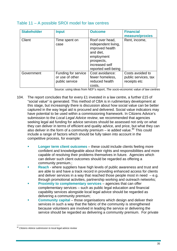#### Table 11 – A possible SROI model for law centres

| <b>Stakeholder</b> | <b>Input</b>                                             | <b>Outcome</b>                                                                                                                              | <b>Financial</b><br>measure/proxies                      |
|--------------------|----------------------------------------------------------|---------------------------------------------------------------------------------------------------------------------------------------------|----------------------------------------------------------|
| Client             | Time spent on<br>case                                    | Roof over head,<br>independent living,<br>improved health<br>and diet,<br>employment<br>prospects,<br>increased self<br>reported well-being | Rent, income,                                            |
| Government         | Funding for service<br>or use of other<br>public service | Cost avoidance:<br>fewer homeless,<br>reduced health<br>costs,                                                                              | Costs avoided to<br>public services, tax<br>receipts etc |

Source: using ideas from NEF's report, *The socio-economic value of law centres*

- 104. The report concludes that for every £1 invested in a law centre, a further £15 of "social value" is generated. This method of CBA is in rudimentary development at this stage, but increasingly there is discussion about how social value can be better captured in the way legal aid is procured and delivered. Social value indicators may have potential to be used within a commissioning framework. In Citizens Advice's submission to the *Local Legal Advice review*, we recommended that agencies seeking legal aid funding for advice services should be assessed not only on what they can deliver in terms of efficient and quality advice, and price, but what they can also deliver in the form of a community premium – ie added value.<sup>[90](#page-34-0)</sup> This could include a range of factors which should be fully taken into account in the competitive process, for example:
	- **Longer term client outcomes**  these could include clients feeling more confident and knowledgeable about their rights and responsibilities and more capable of resolving their problems themselves in future. Agencies which can deliver such client outcomes should be regarded as offering a community premium.;
	- **Reach**  where suppliers have high levels of public awareness and trust and are able to and have a track record in providing enhanced access for clients and deliver services in a way that reached those people most in need  $-e.a.$ through promotional activities, partnership working and outreach networks;
	- **Proximity to complementary services** agencies that can offer complementary services – such as public legal education and financial capability services alongside local legal advice should be regarded as delivering a community premium;
	- **Community capital** those organisations which design and deliver their services in such a way that the fabric of the community is strengthened because volunteers are involved in leading the service or delivering the service should be regarded as delivering a community premium. For private

<span id="page-34-0"></span> $\overline{a}$ <sup>90</sup> *Citizens Advice submission to local legal advice review*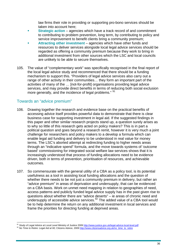law firms their role in providing or supporting pro-bono services should be taken into account here;

- **Strategic action** agencies which have a track record of and commitment to contributing to problem prevention, long term, by contributing to policy and service improvement to benefit clients bring a community premium:
- **Attracting other investment** agencies which have other funds and resources to deliver services alongside local legal advice services should be regarded as offering a community premium because they work to bring in additional investment from other sources which the LSC and local councils are unlikely to be able to secure themselves.
- 105. The value of "complementary work" was specifically recognised in the final report of the local legal advice study and recommenced that there should be a funding mechanism to support this. "Providers of legal advice services also carry out a range of other activity in their communities… they form an important part of the activities of many of the … [not-for-profit] organisations providing legal advice services, and may provide direct benefits in terms of reducing both social exclusion more generally, and the incidence of legal problems." <sup>[91](#page-35-0)</sup>

#### Towards an "advice premium"

- 106. Drawing together the research and evidence base on the practical benefits of accessing advice itself provides powerful data to demonstrate that there is clear business case for supporting investment in legal aid. If the suggested findings in this paper and other similar research projects stand up, a question surely arises as to why so little of this research gets acted on policy makers? This is in part a political question and goes beyond a research remit, however it is very much a joint challenge for researchers and policy makers to a develop a formula which can enable legal aid funding and delivery to be understood in real value for money terms. The LSC's aborted attempt at redirecting funding to higher needs areas through an "indicative spend" formula, and the move towards systems of 'outcome based' commissioning for integrated social welfare law services shows that it is increasingly understood that process of funding allocations need to be evidence driven, both in terms of prevention, prioritisation of resources, and achievable outcomes.
- 107. So commensurate with the general utility of a CBA as a policy tool, is its potential usefulness as a tool in assisting local funding allocations and the question of whether there needs to be not just a community premium in delivery, but rather an "advice premium" in areas of deprivation and undersupply, that can be evidenced on a CBA basis. Work on unmet need mapping in relation to geographies of need, access patterns and publicly funded legal advice supply has in the past given rise to questions about whether there are "advice deserts" – ie areas of chronic need and undersupply of accessible advice services.[92](#page-35-1) The added value of a CBA tool would be to help determine the return on any additional investment in local services and frame the priorities for directing funding at deprived areas.

<span id="page-35-0"></span><sup>&</sup>lt;sup>91</sup> Study of Legal Advice at Local Level Ministry of Justice 2009 http://www.justice.gov.uk/legal-advice-local-level.pdf

<span id="page-35-1"></span><sup>&</sup>lt;sup>92</sup> No Time to Retire: Legal Aid at 60, Citizens Advice, 2009 http://www.citizensadvice.org.uk/no\_time\_to\_retire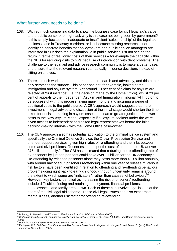#### What further work needs to be done?

- 108. With so much compelling data to show the business case for civil legal aid's value to the public purse, one might ask why is this case not being seen by government? Is this simply because of inadequate or insufficient "salesmanship" of the legal aid business case in Treasury corridors, or is it because existing research is not identifying concrete benefits that policymakers and public service managers are interested in? Or does the explanation lie in public services just not seeing the return in terms of real lower costs of their services – for example the capacity within the NHS for reducing visits to GPs because of intervention with debt problems. The challenge to the legal aid and advice research community is to make a better case, and ensure that the relevant research can actually influence decisions instead of sitting on shelves.
- 109. There is much work to be done here in both research and advocacy, and this paper only scratches the surface. This paper has not, for example, looked at the immigration and asylum system. Yet around 73 per cent of claims for asylum are rejected at "first instance" (i.e. the decision made by the Home Office), whilst 23 per cent of appeals to the Independent Asylum and Immigration Tribunal (AIT) go on to be successful with this process taking many months and incurring a range of additional costs to the public purse. A CBA approach would suggest that more investment in legal advice and discussion at the initial stage would shorten the time taken for decision-making in asylum cases and lead to greater justice at far lower costs to the New Asylum Model, especially if all asylum seekers under the were given access to independent accredited legal representatives before the initial decision-making interview with the Home Office case-owner.
- 110. The CBA approach also has potential application to the criminal justice system and specifically the Criminal Defence Service, the Crown Prosecution Service and offender support services, given high rates of re-offending and the links between crime and civil problems. Recent estimates put the cost of crime to the UK at over £75 billion annually.<sup>[93](#page-36-0)</sup> The CBI has estimated that reducing the re-offending rate of ex-prisoners by just ten per cent could save over £1 billion for the UK economy.<sup>[94](#page-36-1)</sup> Re-offending by released prisoners alone may costs more than £10 billion annually, with around half of adult prisoners reoffending within one year of release.<sup>[95](#page-36-2)</sup> Various risk factors have been identified in relation to offending and re-offending behaviour, problems going right back to early childhood - though uncertainty remains around the extent to which some are "indicators", rather than causes, of behaviour.  $96$ However, key factors identified as increasing the risk of prisoners' reoffending include difficulties finding and retaining employment, financial problems, homelessness and family breakdown. Each of these can involve legal issues at the heart of the civil legal aid scheme. These civil legal issues can also exacerbate mental illness, another risk factor for offending/re-offending.

<span id="page-36-0"></span><sup>&</sup>lt;sup>93</sup> Dubourg. R., Hamed, J. and Thorns, J. The Economic and Social Costs of Crime; (2005)

<span id="page-36-1"></span><sup>&</sup>lt;sup>94</sup> Getting back on the straight and narrow: A better criminal justice system for all. (April, 2008) CBI and Centre for Criminal justice (2009)<br><sup>95</sup> Reducing Reoffending by Ex-Prisoners Social Exclusion Unit (2002).

<span id="page-36-3"></span><span id="page-36-2"></span><sup>95</sup> *Reducing Reoffending by Ex-Prisoners* Social Exclusion Unit (2002). 96 Farrington, D.P. *Childhood Risk Factors and Risk Focused Prevention*, in Maguire, M., Morgan, R. and Reiner, R. (eds.) The Oxford Handbook of Criminology; (2007)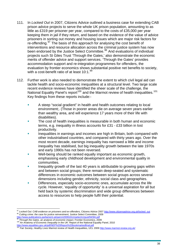- 111. In *Locked Out* in 2007, Citizens Advice outlined a business case for extending CAB prison advice projects to serve the whole UK prison population, amounting to as little as £319 per prisoner per year, compared to the costs of £35,000 per year keeping them in jail if they return, and based on the evidence of the value of advice prisoners in sorting out money and housing issues which are major risk factors for re-offending.[97](#page-37-0) The basis of this approach for analysing the cost benefit of interventions and resource allocation across the criminal justice system has now been endorsed by the Justice Select Committee.<sup>[98](#page-37-1)</sup> And evaluations of individual projects such St Giles Trust 'Through the Gates,' also demonstrate the economic merits of offender advice and support services. 'Through the Gates' provides accommodation support and re-integration programmes for offenders, the evaluation by frontier economics shows substantial positive net benefits to society, with a cost-benefit ratio of at least 10:1.[99](#page-37-2)
- 112. Further work is also needed to demonstrate the extent to which civil legal aid can tackle health and socio-economic inequalities at a structural level. Two large scale recent evidence reviews have identified the sheer scale of the challenge, the National Equality Panel's report<sup>[100](#page-37-3)</sup> and the Marmot review of health inequalities.<sup>[101](#page-37-4)</sup> Key findings from these reports include:-
	- A steep "social gradient" in health and health outcomes relating to local environment;. (Those in poorer areas die on average seven years earlier than wealthy area, and will experience 17 years more of their life with disabilities).
	- The cost of health inequalities is measurable in both human and economic terms, e.g. inequality in illness accounts for £31 - £33 billion in lost productivity.
	- Inequalities in earnings and incomes are high in Britain, both compared with other industrialised countries, and compared with thirty years ago. Over the most recent decade, earnings inequality has narrowed a little and income inequality has stabilised, but big inequality growth between the late 1970s and early 1990s has not been reversed.
	- Well-being should be ranked equally important as economic growth, emphasising early childhood development and environmental quality in communities.
	- Inequality growth of the last 40 years is attributable to growing gaps within and between social groups; there remain deep-seated and systematic differences in economic outcomes between social groups across several dimensions including gender, ethnicity, social class and geographies.
	- Differences, especially socio-economic ones, accumulate across the life cycle. However, 'equality of opportunity' is a universal aspiration for all but held back by systemic discrimination and wide group differences between access to resources to help people fulfil their potential.

<span id="page-37-0"></span><sup>&</sup>lt;sup>97</sup> Locked Out: CAB evidence on prisoners and ex-offenders, Citizens Advice 2007 <u>http://www.citizensadvice.org.uk/locked\_out</u><br><sup>98</sup> Cutting crime: the case for justice reinvestment, Justice Select Committee, 2009

<span id="page-37-2"></span><span id="page-37-1"></span>http://www.publications.parliament.uk/pa/cm200910/cmselect/cmjust/94/94i.pdf<br><sup>99</sup> Through the Gates, an analysis of economic impact, Frontier Economics, 2009<br><sup>100</sup> An Anatomy of Economic Inequality in the UK: Report of the

<span id="page-37-4"></span><span id="page-37-3"></span>

http://www.equalities.gov.uk/pdf/news2008/edge.com/2012/000-edge.com/2009<http://www.marmot-review.org.uk/><br><sup>101</sup> *Fair Society, Healthy Lives* Marmot review of Health Inequalities, UCL 2009 http://www.marmot-review.org.uk/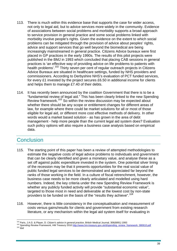- 113. There is much within this evidence base that supports the case for wider access, not only to legal aid, but to advice services more widely in the community. Evidence of associations between social problems and morbidity supports a broad approach to service provision in general practice and some social problems linked with morbidity involve people's rights. Given the evidence on the extent to which social problems can be mitigated through the provision of advice about peoples' rights, advice and support services that go well beyond the biomedical are being increasingly mainstreamed in general practice. Citizens Advice bureaux were first placed in GP practices in the early 1990s. The results of this pilot projects were published in the BMJ in 1993 which concluded that placing CAB sessions in general practices is 'an effective way of providing advice on life problems to patients with health problems'.<sup>[102](#page-38-0)</sup> Thirty seven per cent of regular outreach projects in Citizens Advice Bureaux are situated in healthcare settings, funded by NHS providers and commissioners. According to Derbyshire NHS's evaluation of PCT funded services, for every £1 invested by the project secures £6.50 in additional income for clients and helps them to manage £7.40 of their debts.
- 114. It has recently been announced by the coalition Government that there is to be a "fundamental review of legal aid." This has been clearly linked to the new Spending Review framework.[103](#page-38-1) So within the review discussion may be expected about whether there should be any scope or entitlement changes for different areas of law, for example where there could be market solutions for all or most of those eligible for legal aid, or different more cost effective methods of delivery. In other words would a market based solution - as has grown in the area of debt management - help more people than the current legal aid system does? Evaluation such policy options will also require a business case analysis based on empirical data.

# **Conclusion**

- 115. The starting point of this paper has been a review of attempted methodologies to estimate the negative costs of legal advice problems to individuals and government that can be clearly identified and given a monetary value, and analyse these as a set off against public expenditure invested in the system. One potential silver lining of the recession may be that it presents opportunities for the real social value of public funded legal services to be demonstrated and appreciated far beyond the ranks of those working in the field. In a culture of fiscal retrenchment, however, the business case needs to be more clearly articulated and modelled using hard numbers. Indeed, the key criteria under the new Spending Review Framework is whether any publicly funded activity will provide "substantial economic value", targeted to those most in need and deliverable at the lowest cost by non-state providers to be funded on the basis of the "results they achieve".[104](#page-38-2)
- 116. However, there is little consistency in the conceptualisation and measurement of costs versus gains/results for clients and government from existing research literature, or any mechanism within the legal aid system itself for evaluating in

<span id="page-38-1"></span><span id="page-38-0"></span>

<sup>&</sup>lt;sup>102</sup> Paris, J.A.G. & Player, D. Citizen's advice in general practice, British Medical Journal, 306(6891) 1993<br><sup>103</sup> Spending Review Framework, HM Treasury 2010 http://www.hm-treasury.gov.uk/d/spending\_review\_framework\_080

<span id="page-38-2"></span>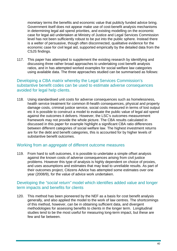monetary terms the benefits and economic value that publicly funded advice bring. Government itself does not appear make use of cost-benefit analysis mechanisms in determining legal aid spend priorities, and existing modelling on the economic case for legal aid undertaken at Ministry of Justice and Legal Services Commission level has not been sufficiently robust to be put into the public sphere. Instead there is a welter of persuasive, though often disconnected, qualitative evidence for the economic case for civil legal aid, supported empirically by the detailed data from the CSJS findings.

117. This paper has attempted to supplement the existing research by identifying and discussing three rather broad approaches to undertaking cost benefit analysis ratios, and in has attempted worked examples for social welfare law categories using available data. The three approaches studied can be summarised as follows:

#### Developing a CBA *matrix* whereby the Legal Services Commission's substantive benefit codes can be used to estimate adverse consequences avoided for legal help clients.

118. Using standardised unit costs for adverse consequences such as homelessness, health service treatment for common ill-health consequences, physical and property damage costs, criminal justice service, social costs measured in terms of lost output etc it is possible to construct a model to evaluate the public value of legal aid spend against the outcomes it delivers. However, the LSC's outcomes measurement framework may not provide the whole picture. The CBA results calculated in discussed in this paper for example highlight a significant CBA ratio differences between different categories of social welfare law. The highest investment returns are for the debt and benefit categories, this is accounted for by higher levels of substantive benefit outcomes.

#### Working from an *aggregate* of different outcome measures

119. From hard to soft outcomes, it is possible to undertake a simple offset analysis against the known costs of adverse consequences arising from civil justice problems. However this type of analysis is highly dependent on choice of proxies, and uses assumptions and estimates that may lead to unreliable results. As part of their outcomes project, Citizens Advice has attempted some estimates over one year (2008/9), for the value of advice work undertaken.

#### Developing the *"social return"* model which identifies added value and longer term impacts and benefits for clients

120. This method has been pioneered by the NEF as a basis for cost benefit analysis generally, and also applied the model to the work of law centres. The shortcomings of this method, however, can be in obtaining sufficient data, and divergent methodologies for assessing benefits to clients in the longer term. Longitudinal studies tend to be the most useful for measuring long-term impact, but these are few and far between.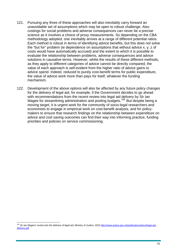- 121. Pursuing any three of these approaches will also inevitably carry forward an unavoidable set of assumptions which may be open to robust challenge. Also costings for social problems and adverse consequences can never be a precise science as it involves a choice of proxy measurements. So depending on the CBA methodology adopted, one inevitably arrives at a range of different potential ratios. Each method is robust in terms of identifying advice benefits, but this does not solve the "but for" problem (ie dependence on assumptions that without advice x, y, z of costs would have automatically accrued) and the extent to which it is possible to evaluate the relationship between problems, adverse consequences and advice solutions in causative terms. However, whilst the results of these different methods, as they apply to different categories of advice cannot be directly compared, the value of each approach is self-evident from the higher ratio of advice gains to advice spend. Indeed, reduced to purely cost-benefit terms for public expenditure, the value of advice work more than pays for itself, whatever the funding mechanism.
- 122. Development of the above options will also be affected by any future policy changes for the delivery of legal aid, for example, if the Government decides to go ahead with recommendations from the recent review into legal aid delivery by Sir Ian Magee for streamlining administration and pooling budgets.<sup>[105](#page-40-0)</sup> But despite being a moving target, it is urgent work for the community of socio-legal researchers and economists to engage in empirical work on cost-benefit analysis, and for policymakers to ensure that research findings on the relationship between expenditure on advice and cost saving outcomes can find their way into informing practice, funding priorities and policies on service commissioning.

<span id="page-40-0"></span><sup>105</sup> *Sir Ian Magee's review into the delivery of legal aid,* Ministry of Justice, 2010 [http://www.justice.gov.uk/publications/docs/legal-aid](http://www.justice.gov.uk/publications/docs/legal-aid-delivery.pdf)[delivery.pdf](http://www.justice.gov.uk/publications/docs/legal-aid-delivery.pdf)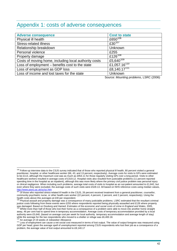### Appendix 1: costs of adverse consequences

| <b>Adverse consequence</b>                            | <b>Cost to state</b>     |
|-------------------------------------------------------|--------------------------|
| Physical ill health                                   | £650 $106$               |
| <b>Stress-related illness</b>                         | $£30^{107}$              |
| Relationship breakdown                                | Unknown                  |
| Personal violence                                     | £255                     |
| Property damage                                       | £126 <sup>108</sup>      |
| Costs of moving home, including local authority costs | £5,640 $109$             |
| Loss of employment - benefits cost to the state       | £1,057.16 <sup>110</sup> |
| Loss of employment as GDP loss                        | £8,140.17 <sup>111</sup> |
| Loss of income and lost taxes for the state           | Unknown                  |

Source: *Mounting problems*, LSRC (2006)

<span id="page-41-0"></span><sup>&</sup>lt;sup>106</sup> Follow-up interview data to the CSJS survey indicated that of those who reported physical ill health, 80 percent visited a general practitioner, hospital, or other healthcare worker (66, 43, and 13 percent, respectively). Average costs for visits to GPs were estimated to be £113, although the maximum cost was as much as £954.11 for those regularly visiting GPs over a long period. Visits to other healthcare workers resulted in average costs of £319.12. Hospital visits also resulted from justiciable problems (11 percent reported spending time in the hospital as an inpatient), although this was more likely where the primary civil justice problem was personal injury or clinical negligence. When including such problems, average total costs of visits to hospital as an out-patient amounted to £1,842, but even where they were excluded, the average costs of such visits were £528.13. All based on NHS reference costs using median values,<br>http://www.pssru.ac.uk/uc/uc.htm<br>107 Of these who repetide three related ill backb in the

<span id="page-41-1"></span>Of those who reported stress-related ill health in the CSJS, 26 percent received treatment from a general practitioner, counsellor, community psychiatric nurse, or other health-care worker (22 percent, 4 percent, 2 percent, and 2 percent, respectively). Using the health costs above this averages at £30 per respondent.<br><sup>108</sup> Physical assault and property damage was a consequence of many justiciable problems. LSRC estimated that the resultant criminal

<span id="page-41-2"></span>justice costs following from these events were £255 where respondents reported being physically assaulted and £126 where property was damaged. Based on Douborg and Hamed: *Estimates of the economic and social costs of crime in England and Wales*, 2005,<br><sup>109</sup> Whilst more than half of those who lost their home as a consequence of a problem were able to

<span id="page-41-3"></span>away, 46 per cent had to spend time in temporary accommodation. Average costs of temporary accommodation provided by a local authority were £5,640, (based on average cost per week for local authority temporary accommodation and average length of stay) while the average for the two respondents who moved to a shelter or refuge was £6,400.18.

<span id="page-41-5"></span><span id="page-41-4"></span><sup>111</sup> Loss of employment can cause a net social cost measured in terms of lost output. The value of output foregone was measured using GDP per head; given the average spell of unemployment reported among CSJS respondents who lost their job as a consequence of a problem, the average value of lost output amounted to £8,140.17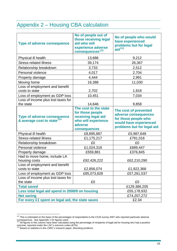# Appendix 2 – Housing CBA calculation

| <b>Type of adverse consequence</b>                                           | No of people out of<br>those receiving legal<br>aid who will<br>experience adverse<br>consequences <sup>112</sup>  | No of people who would<br>have experienced<br>problems but for legal<br>aid $113$                                             |
|------------------------------------------------------------------------------|--------------------------------------------------------------------------------------------------------------------|-------------------------------------------------------------------------------------------------------------------------------|
| Physical ill health                                                          | 13,686                                                                                                             | 9,212                                                                                                                         |
| <b>Stress-related illness</b>                                                | 39,174                                                                                                             | 26,367                                                                                                                        |
| Relationship breakdown                                                       | 3,733                                                                                                              | 2,512                                                                                                                         |
| Personal violence                                                            | 4,017                                                                                                              | 2,704                                                                                                                         |
| Property damage                                                              | 4,444                                                                                                              | 2,991                                                                                                                         |
| Moving home                                                                  | 16,388                                                                                                             | 11,030                                                                                                                        |
| Loss of employment and benefit                                               |                                                                                                                    |                                                                                                                               |
| costs to state                                                               | 2,702                                                                                                              | 1,818                                                                                                                         |
| Loss of employment as GDP loss                                               | 10,451                                                                                                             | 7,034                                                                                                                         |
| Loss of income plus lost taxes for<br>the state                              | 14,646                                                                                                             | 9,858                                                                                                                         |
| <b>Type of adverse consequence</b><br>& average cost to state <sup>114</sup> | The cost to the state<br>for those people<br>receiving legal aid<br>who will experience<br>adverse<br>consequences | The cost of prevented<br>adverse consequences<br>for those people who<br>would have experienced<br>problems but for legal aid |
| Physical ill health                                                          | £8,895,887                                                                                                         | £5,987,648                                                                                                                    |
| <b>Stress-related illness</b>                                                | £1,175,217                                                                                                         | £791,016                                                                                                                      |
| Relationship breakdown                                                       | £0                                                                                                                 | £0                                                                                                                            |
| Personal violence                                                            | £1,024,316                                                                                                         | £689,447                                                                                                                      |
| Property damage                                                              | £559,881                                                                                                           | £376,845                                                                                                                      |
| Had to move home, include LA<br>housing costs                                | £92,426,222                                                                                                        | £62,210,290                                                                                                                   |
| Loss of employment and benefit                                               |                                                                                                                    |                                                                                                                               |
| costs to state                                                               | £2,856,074                                                                                                         | £1,922,368                                                                                                                    |
| Loss of employment as GDP loss                                               | £85,073,828                                                                                                        | £57,261,537                                                                                                                   |
| Loss of income plus lost taxes for<br>the state                              | £0                                                                                                                 | £0                                                                                                                            |
| <b>Total saved</b>                                                           |                                                                                                                    | £129,386,205                                                                                                                  |
| Less total legal aid spend in 2008/9 on housing                              |                                                                                                                    | £55,178,932                                                                                                                   |
| <b>Net saving</b>                                                            |                                                                                                                    | £74,207,272                                                                                                                   |
| For every £1 spent on legal aid, the state saves                             |                                                                                                                    | £2.34                                                                                                                         |

<span id="page-42-0"></span> $112$  This is estimated on the basis of the percentages of respondents to the CSJS survey 2007 who reported particular adverse consequences. See Appendix 1 for figures used.<br><sup>113</sup> All figures in this column have been calculated using the percentage of recipients of legal aid for housing who had a positive

<span id="page-42-1"></span>outcome, reported under the LSC's outcome codes (67%) 114 Based on statistics in the LSRC's research paper, *Mounting problems*

<span id="page-42-2"></span>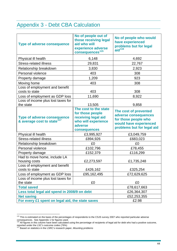# Appendix 3 - Debt CBA Calculation

| <b>Type of adverse consequence</b>                                           | No of people out of<br>those receiving legal<br>aid who will<br>experience adverse<br>consequences <sup>115</sup>  | No of people who would<br>have experienced<br>problems but for legal<br>$\overline{a}$ id <sup>116</sup>                      |
|------------------------------------------------------------------------------|--------------------------------------------------------------------------------------------------------------------|-------------------------------------------------------------------------------------------------------------------------------|
| Physical ill health                                                          | 6,148                                                                                                              | 4,692                                                                                                                         |
| <b>Stress-related illness</b>                                                | 29,831                                                                                                             | 22,767                                                                                                                        |
| Relationship breakdown                                                       | 3,830                                                                                                              | 2,923                                                                                                                         |
| Personal violence                                                            | 403                                                                                                                | 308                                                                                                                           |
| Property damage                                                              | 1,209                                                                                                              | 923                                                                                                                           |
| Moving home                                                                  | 403                                                                                                                | 308                                                                                                                           |
| Loss of employment and benefit<br>costs to state                             | 403                                                                                                                | 308                                                                                                                           |
| Loss of employment as GDP loss                                               | 11,690                                                                                                             | 8,922                                                                                                                         |
| Loss of income plus lost taxes for<br>the state                              | 13,505                                                                                                             | 9,858                                                                                                                         |
| <b>Type of adverse consequence</b><br>& average cost to state <sup>117</sup> | The cost to the state<br>for those people<br>receiving legal aid<br>who will experience<br>adverse<br>consequences | The cost of prevented<br>adverse consequences<br>for those people who<br>would have experienced<br>problems but for legal aid |
| Physical ill health                                                          | £3,995,927                                                                                                         | £3,049,759                                                                                                                    |
| <b>Stress-related illness</b>                                                | £894,926                                                                                                           | £683,023                                                                                                                      |
| Relationship breakdown                                                       | £0                                                                                                                 | £0                                                                                                                            |
| Personal violence                                                            | £102,796                                                                                                           | £78,455                                                                                                                       |
| Property damage                                                              | £152,379                                                                                                           | £116,299                                                                                                                      |
| Had to move home, include LA<br>housing costs                                | £2,273,597                                                                                                         | £1,735,248                                                                                                                    |
| Loss of employment and benefit<br>costs to state                             | £426,162                                                                                                           | £325,254                                                                                                                      |
| Loss of employment as GDP loss                                               | £95,162,495                                                                                                        | £72,629,625                                                                                                                   |
| Loss of income plus lost taxes for<br>the state                              | £0                                                                                                                 | £0                                                                                                                            |
| <b>Total saved</b>                                                           |                                                                                                                    | £78,617,663                                                                                                                   |
| Less total legal aid spend in 2008/9 on debt                                 |                                                                                                                    | £26,364,307                                                                                                                   |
| <b>Net saving</b>                                                            |                                                                                                                    | £52,253,355                                                                                                                   |
| For every £1 spent on legal aid, the state saves                             |                                                                                                                    | £2.98                                                                                                                         |

<span id="page-43-0"></span> $\overline{a}$ <sup>115</sup> This is estimated on the basis of the percentages of respondents to the CSJS survey 2007 who reported particular adverse

<span id="page-43-1"></span>consequences. See Appendix 1 for figures used.<br><sup>116</sup> All figures in this column have been calculated using the percentage of recipients of legal aid for debt who had a positive outcome, reported under the LSC's outcome codes (76%) 117 Based on statistics in the LSRC's research paper, *Mounting problems*

<span id="page-43-2"></span>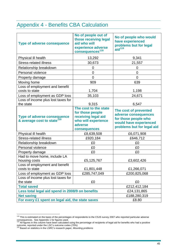## Appendix 4 - Benefits CBA Calculation

| <b>Type of adverse consequence</b>                                           | No of people out of<br>those receiving legal<br>aid who will<br>experience adverse<br>consequences <sup>118</sup>  | No of people who would<br>have experienced<br>problems but for legal<br>$\overline{a}$ id <sup>119</sup>                      |
|------------------------------------------------------------------------------|--------------------------------------------------------------------------------------------------------------------|-------------------------------------------------------------------------------------------------------------------------------|
| Physical ill health                                                          | 13,292                                                                                                             | 9,341                                                                                                                         |
| <b>Stress-related illness</b>                                                | 30,673                                                                                                             | 21,557                                                                                                                        |
| Relationship breakdown                                                       | $\overline{0}$                                                                                                     | 0                                                                                                                             |
| Personal violence                                                            | 0                                                                                                                  | 0                                                                                                                             |
| Property damage                                                              | $\overline{0}$                                                                                                     | $\overline{0}$                                                                                                                |
| Moving home                                                                  | 909                                                                                                                | 639                                                                                                                           |
| Loss of employment and benefit<br>costs to state                             | 1,704                                                                                                              | 1,198                                                                                                                         |
| Loss of employment as GDP loss                                               | 35,103                                                                                                             | 24,671                                                                                                                        |
| Loss of income plus lost taxes for<br>the state                              | 9,315                                                                                                              | 6,547                                                                                                                         |
| <b>Type of adverse consequence</b><br>& average cost to state <sup>120</sup> | The cost to the state<br>for those people<br>receiving legal aid<br>who will experience<br>adverse<br>consequences | The cost of prevented<br>adverse consequences<br>for those people who<br>would have experienced<br>problems but for legal aid |
| Physical ill health                                                          | £8,639,508                                                                                                         | £6,071,908                                                                                                                    |
| <b>Stress-related illness</b>                                                | £920,184                                                                                                           | £646,712                                                                                                                      |
| Relationship breakdown                                                       | £0                                                                                                                 | £0                                                                                                                            |
| Personal violence                                                            | £0                                                                                                                 | £0                                                                                                                            |
| Property damage                                                              | £0                                                                                                                 | £0                                                                                                                            |
| Had to move home, include LA<br>housing costs                                | £5,125,767                                                                                                         | £3,602,426                                                                                                                    |
| Loss of employment and benefit                                               |                                                                                                                    |                                                                                                                               |
| costs to state                                                               | £1,801,448                                                                                                         | £1,266,071                                                                                                                    |
| Loss of employment as GDP loss                                               | £285,747,049                                                                                                       | £200,825,068                                                                                                                  |
| Loss of income plus lost taxes for<br>the state                              | £0                                                                                                                 | £0                                                                                                                            |
| <b>Total saved</b>                                                           |                                                                                                                    | £212,412,184                                                                                                                  |
| Less total legal aid spend in 2008/9 on benefits                             |                                                                                                                    | £24,131,865                                                                                                                   |
| <b>Net saving</b>                                                            |                                                                                                                    | £188,280,319                                                                                                                  |
| For every £1 spent on legal aid, the state saves                             |                                                                                                                    | £8.80                                                                                                                         |

<span id="page-44-0"></span> $\overline{a}$ <sup>118</sup> This is estimated on the basis of the percentages of respondents to the CSJS survey 2007 who reported particular adverse consequences. See Appendix 1 for figures used.<br><sup>119</sup> All figures in this column have been calculated using the percentage of recipients of legal aid for benefits who had a positive

<span id="page-44-1"></span>outcome, reported under the LSC's outcome codes (70%) 120 Based on statistics in the LSRC's research paper, *Mounting problems*

<span id="page-44-2"></span>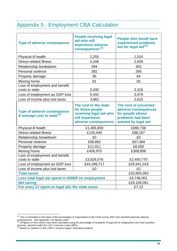# Appendix 5 - Employment CBA Calculation

| <b>Type of adverse consequence</b>                                           | <b>People receiving legal</b><br>aid who will<br>experience adverse<br>consequences <sup>121</sup>              | <b>People who would have</b><br>experienced problems<br>but for legal aid <sup>122</sup>                       |
|------------------------------------------------------------------------------|-----------------------------------------------------------------------------------------------------------------|----------------------------------------------------------------------------------------------------------------|
| Physical ill health                                                          | 2,255                                                                                                           | 1,524                                                                                                          |
| <b>Stress-related illness</b>                                                | 4,348                                                                                                           | 2,939                                                                                                          |
| Relationship breakdown                                                       | 594                                                                                                             | 402                                                                                                            |
| Personal violence                                                            | 392                                                                                                             | 265                                                                                                            |
| Property damage                                                              | 95                                                                                                              | 64                                                                                                             |
| Moving home                                                                  | 81                                                                                                              | 55                                                                                                             |
| Loss of employment and benefit<br>costs to state                             | 3,430                                                                                                           | 2,318                                                                                                          |
| Loss of employment as GDP loss                                               | 5,442                                                                                                           | 3,678                                                                                                          |
| Loss of income plus lost taxes                                               | 3,862                                                                                                           | 2,610                                                                                                          |
| <b>Type of adverse consequence</b><br>& average cost to state <sup>123</sup> | The cost to the state<br>for those people<br>receiving legal aid who<br>will experience<br>adverse consequences | The cost of prevented<br>adverse consequences<br>for people whose<br>problems had been<br>averted by legal aid |
| Physical ill health                                                          | £1,465,859                                                                                                      | £990,736                                                                                                       |
| <b>Stress-related illness</b>                                                | £130,449                                                                                                        | £88,167                                                                                                        |
| Relationship breakdown                                                       | £0                                                                                                              | £0                                                                                                             |
| Personal violence                                                            | £99,862                                                                                                         | £67,494                                                                                                        |
| Property damage                                                              | £11,911                                                                                                         | £8,050                                                                                                         |
| Moving home                                                                  | £456,975                                                                                                        | £308,858                                                                                                       |
| Loss of employment and benefit<br>costs to state                             | £3,626,076                                                                                                      | £2,450,770                                                                                                     |
| Loss of employment as GDP loss                                               | £44,299,717                                                                                                     | £29,941,019                                                                                                    |
| Loss of income plus lost taxes                                               | £0                                                                                                              | £0                                                                                                             |
| <b>Total saved</b>                                                           | £33,855,093                                                                                                     |                                                                                                                |
| Less total legal aid spend in 2008/9 on employment                           | £4,746,001                                                                                                      |                                                                                                                |
| <b>Net saving</b>                                                            | £29,109,091                                                                                                     |                                                                                                                |
| For every £1 spent on legal aid, the state saves                             | £7.13                                                                                                           |                                                                                                                |

<span id="page-45-0"></span> $\overline{a}$  $121$  This is estimated on the basis of the percentages of respondents to the CSJS survey 2007 who reported particular adverse

<span id="page-45-1"></span>consequences. See Appendix 1 for figures used.<br><sup>122</sup> All figures in this column have been calculated using the percentage of recipients of legal aid for employment who had a positive outcome, reported under the LSC's outcome codes (68%) 123 Based on statistics in the LSRC's research paper, *Mounting problems*

<span id="page-45-2"></span>